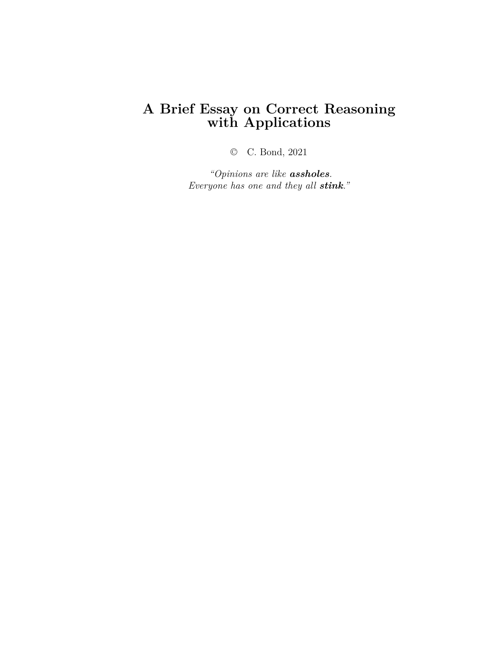# **A Brief Essay on Correct Reasoning with Applications**

© C. Bond, 2021

*"Opinions are like assholes. Everyone has one and they all stink."*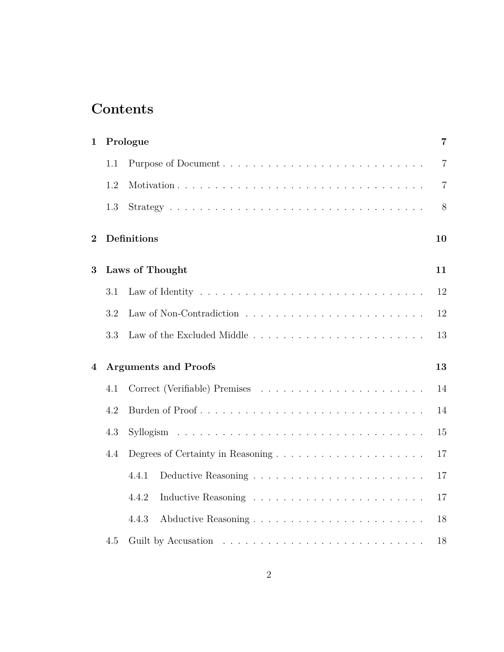# **Contents**

| $\mathbf{1}$   |     | Prologue                    | 7              |  |  |  |  |
|----------------|-----|-----------------------------|----------------|--|--|--|--|
|                | 1.1 |                             | $\overline{7}$ |  |  |  |  |
|                | 1.2 |                             | $\overline{7}$ |  |  |  |  |
|                | 1.3 |                             | 8              |  |  |  |  |
| $\overline{2}$ |     | <b>Definitions</b>          | 10             |  |  |  |  |
| 3              |     | Laws of Thought             | 11             |  |  |  |  |
|                | 3.1 |                             | 12             |  |  |  |  |
|                | 3.2 |                             | 12             |  |  |  |  |
|                | 3.3 |                             | 13             |  |  |  |  |
| 4              |     | <b>Arguments and Proofs</b> | 13             |  |  |  |  |
|                | 4.1 |                             | 14             |  |  |  |  |
|                | 4.2 |                             | 14             |  |  |  |  |
|                | 4.3 |                             |                |  |  |  |  |
|                | 4.4 |                             | $17\,$         |  |  |  |  |
|                |     | 4.4.1                       | 17             |  |  |  |  |
|                |     | 4.4.2                       | 17             |  |  |  |  |
|                |     | 4.4.3                       | 18             |  |  |  |  |
|                | 4.5 |                             | 18             |  |  |  |  |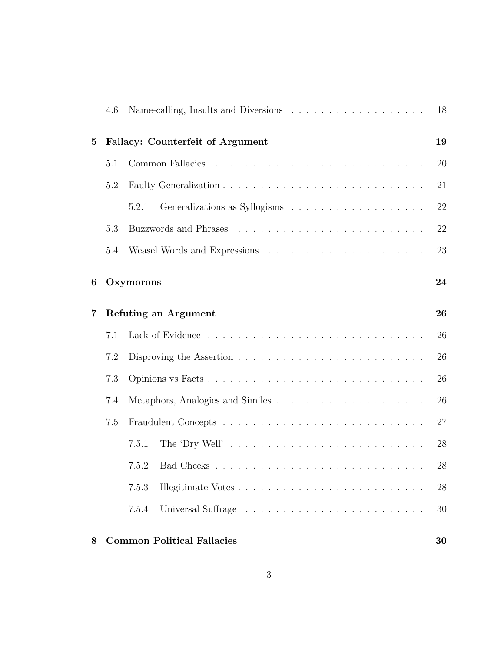|                | 4.6 |                                               | 18 |  |  |  |  |  |  |  |  |
|----------------|-----|-----------------------------------------------|----|--|--|--|--|--|--|--|--|
| $\overline{5}$ |     | <b>Fallacy: Counterfeit of Argument</b><br>19 |    |  |  |  |  |  |  |  |  |
|                | 5.1 |                                               | 20 |  |  |  |  |  |  |  |  |
|                | 5.2 |                                               | 21 |  |  |  |  |  |  |  |  |
|                |     | 5.2.1                                         | 22 |  |  |  |  |  |  |  |  |
|                | 5.3 |                                               | 22 |  |  |  |  |  |  |  |  |
|                | 5.4 |                                               | 23 |  |  |  |  |  |  |  |  |
| 6              |     | Oxymorons                                     | 24 |  |  |  |  |  |  |  |  |
| 7              |     | <b>Refuting an Argument</b>                   | 26 |  |  |  |  |  |  |  |  |
|                | 7.1 |                                               | 26 |  |  |  |  |  |  |  |  |
|                | 7.2 |                                               | 26 |  |  |  |  |  |  |  |  |
|                | 7.3 |                                               | 26 |  |  |  |  |  |  |  |  |
|                | 7.4 |                                               | 26 |  |  |  |  |  |  |  |  |
|                | 7.5 |                                               | 27 |  |  |  |  |  |  |  |  |
|                |     | 7.5.1                                         | 28 |  |  |  |  |  |  |  |  |
|                |     | 7.5.2                                         | 28 |  |  |  |  |  |  |  |  |
|                |     | 7.5.3                                         | 28 |  |  |  |  |  |  |  |  |
|                |     | 7.5.4                                         | 30 |  |  |  |  |  |  |  |  |
| 8              |     | <b>Common Political Fallacies</b>             | 30 |  |  |  |  |  |  |  |  |

#### 3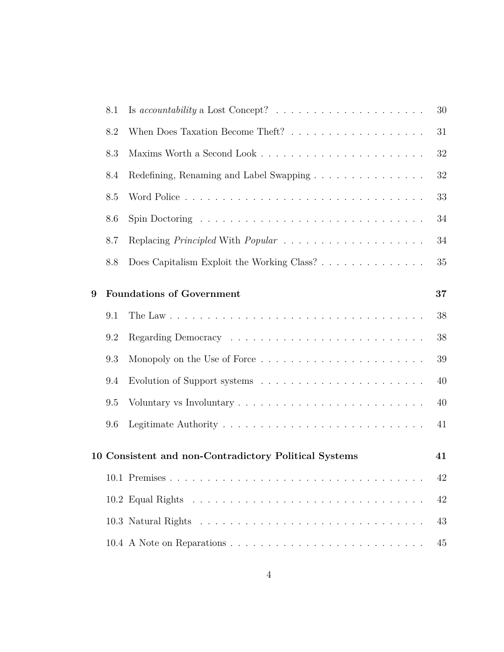|   | 8.1 | Is accountability a Lost Concept? $\ldots \ldots \ldots \ldots \ldots \ldots$          | 30     |
|---|-----|----------------------------------------------------------------------------------------|--------|
|   | 8.2 |                                                                                        | 31     |
|   | 8.3 |                                                                                        | $32\,$ |
|   | 8.4 | Redefining, Renaming and Label Swapping                                                | $32\,$ |
|   | 8.5 |                                                                                        | 33     |
|   | 8.6 | Spin Doctoring $\ldots \ldots \ldots \ldots \ldots \ldots \ldots \ldots \ldots \ldots$ | 34     |
|   | 8.7 |                                                                                        | 34     |
|   | 8.8 | Does Capitalism Exploit the Working Class?                                             | 35     |
| 9 |     | <b>Foundations of Government</b>                                                       | 37     |
|   | 9.1 |                                                                                        | 38     |
|   | 9.2 |                                                                                        | 38     |
|   | 9.3 |                                                                                        | 39     |
|   | 9.4 |                                                                                        | 40     |
|   | 9.5 | Voluntary vs Involuntary $\dots \dots \dots \dots \dots \dots \dots \dots \dots \dots$ | 40     |
|   | 9.6 |                                                                                        | 41     |
|   |     | 10 Consistent and non-Contradictory Political Systems                                  | 41     |
|   |     |                                                                                        | 42     |
|   |     |                                                                                        | 42     |
|   |     |                                                                                        | 43     |
|   |     |                                                                                        | 45     |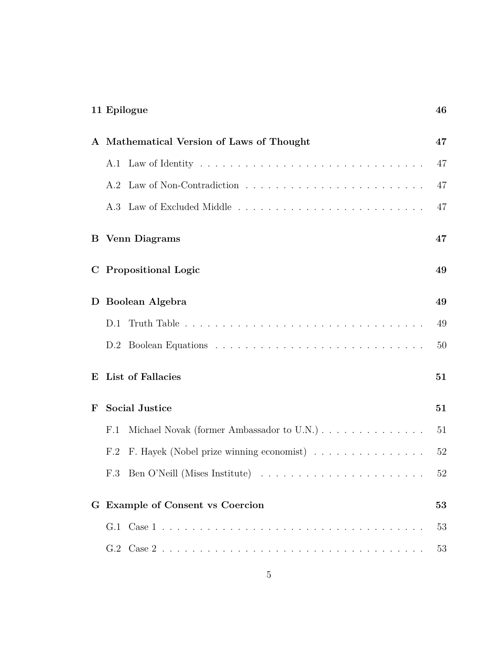| 11 Epilogue                                     | 46 |
|-------------------------------------------------|----|
| A Mathematical Version of Laws of Thought       | 47 |
|                                                 | 47 |
|                                                 | 47 |
|                                                 | 47 |
| <b>Venn Diagrams</b><br>B.                      | 47 |
| <b>Propositional Logic</b><br>$\mathbf C$       | 49 |
| Boolean Algebra<br>D                            | 49 |
| D.1                                             | 49 |
|                                                 | 50 |
| List of Fallacies<br>E                          | 51 |
| <b>Social Justice</b><br>$\mathbf{F}$           | 51 |
| F.1                                             | 51 |
| F. Hayek (Nobel prize winning economist)<br>F.2 | 52 |
| F.3 Ben O'Neill (Mises Institute)               | 52 |
| G Example of Consent vs Coercion                | 53 |
|                                                 | 53 |
|                                                 | 53 |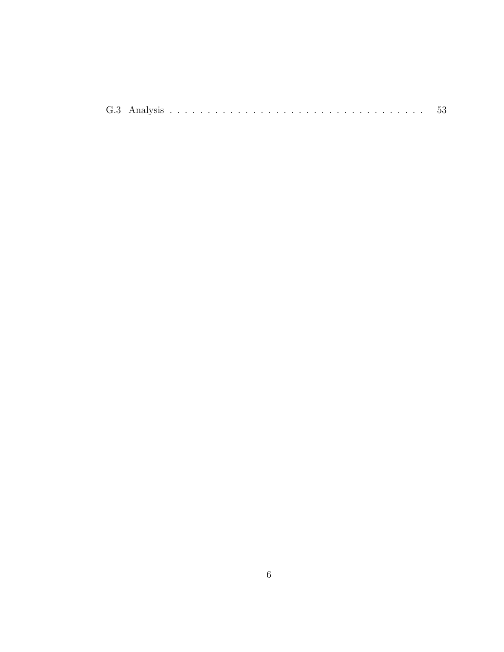|  | G.3 Analysis |  |  |  |  |  |  |  |  |  |  |  |  |  |  |  |  |  |  |  |  |  |  |  |  |  |  |  |  |  |  |  |  |  |  |  | $\cdot$ ) $\cdot$ ) |
|--|--------------|--|--|--|--|--|--|--|--|--|--|--|--|--|--|--|--|--|--|--|--|--|--|--|--|--|--|--|--|--|--|--|--|--|--|--|---------------------|
|--|--------------|--|--|--|--|--|--|--|--|--|--|--|--|--|--|--|--|--|--|--|--|--|--|--|--|--|--|--|--|--|--|--|--|--|--|--|---------------------|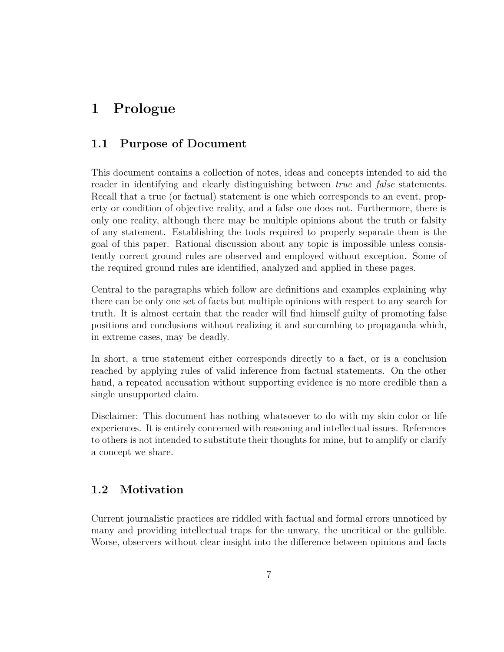# **1 Prologue**

### **1.1 Purpose of Document**

This document contains a collection of notes, ideas and concepts intended to aid the reader in identifying and clearly distinguishing between *true* and *false* statements. Recall that a true (or factual) statement is one which corresponds to an event, property or condition of objective reality, and a false one does not. Furthermore, there is only one reality, although there may be multiple opinions about the truth or falsity of any statement. Establishing the tools required to properly separate them is the goal of this paper. Rational discussion about any topic is impossible unless consistently correct ground rules are observed and employed without exception. Some of the required ground rules are identified, analyzed and applied in these pages.

Central to the paragraphs which follow are definitions and examples explaining why there can be only one set of facts but multiple opinions with respect to any search for truth. It is almost certain that the reader will find himself guilty of promoting false positions and conclusions without realizing it and succumbing to propaganda which, in extreme cases, may be deadly.

In short, a true statement either corresponds directly to a fact, or is a conclusion reached by applying rules of valid inference from factual statements. On the other hand, a repeated accusation without supporting evidence is no more credible than a single unsupported claim.

Disclaimer: This document has nothing whatsoever to do with my skin color or life experiences. It is entirely concerned with reasoning and intellectual issues. References to others is not intended to substitute their thoughts for mine, but to amplify or clarify a concept we share.

### **1.2 Motivation**

Current journalistic practices are riddled with factual and formal errors unnoticed by many and providing intellectual traps for the unwary, the uncritical or the gullible. Worse, observers without clear insight into the difference between opinions and facts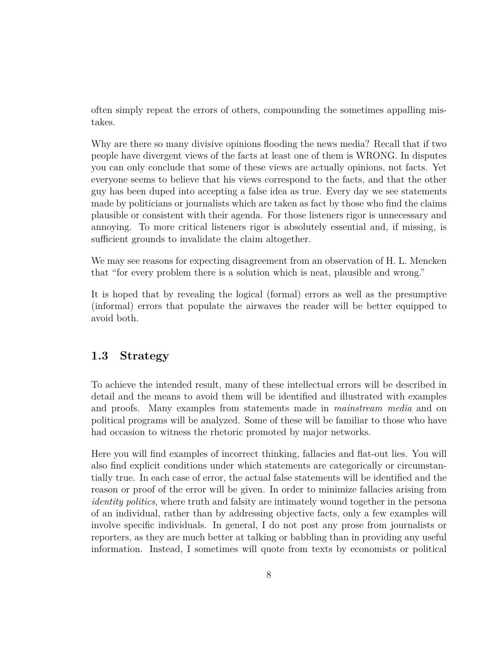often simply repeat the errors of others, compounding the sometimes appalling mistakes.

Why are there so many divisive opinions flooding the news media? Recall that if two people have divergent views of the facts at least one of them is WRONG. In disputes you can only conclude that some of these views are actually opinions, not facts. Yet everyone seems to believe that his views correspond to the facts, and that the other guy has been duped into accepting a false idea as true. Every day we see statements made by politicians or journalists which are taken as fact by those who find the claims plausible or consistent with their agenda. For those listeners rigor is unnecessary and annoying. To more critical listeners rigor is absolutely essential and, if missing, is sufficient grounds to invalidate the claim altogether.

We may see reasons for expecting disagreement from an observation of H. L. Mencken that "for every problem there is a solution which is neat, plausible and wrong."

It is hoped that by revealing the logical (formal) errors as well as the presumptive (informal) errors that populate the airwaves the reader will be better equipped to avoid both.

#### **1.3 Strategy**

To achieve the intended result, many of these intellectual errors will be described in detail and the means to avoid them will be identified and illustrated with examples and proofs. Many examples from statements made in *mainstream media* and on political programs will be analyzed. Some of these will be familiar to those who have had occasion to witness the rhetoric promoted by major networks.

Here you will find examples of incorrect thinking, fallacies and flat-out lies. You will also find explicit conditions under which statements are categorically or circumstantially true. In each case of error, the actual false statements will be identified and the reason or proof of the error will be given. In order to minimize fallacies arising from *identity politics*, where truth and falsity are intimately wound together in the persona of an individual, rather than by addressing objective facts, only a few examples will involve specific individuals. In general, I do not post any prose from journalists or reporters, as they are much better at talking or babbling than in providing any useful information. Instead, I sometimes will quote from texts by economists or political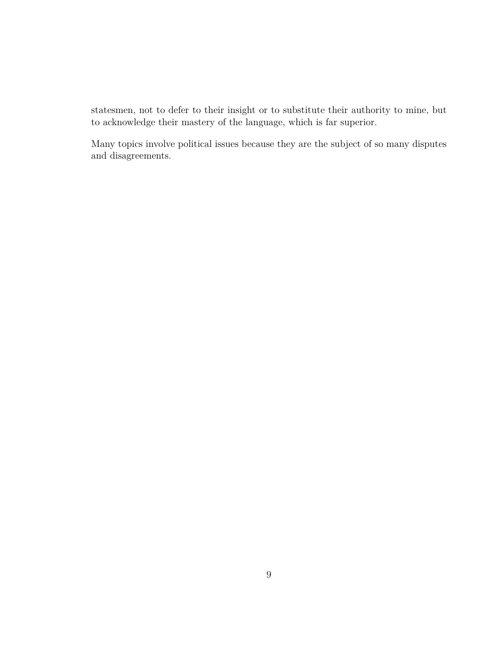statesmen, not to defer to their insight or to substitute their authority to mine, but to acknowledge their mastery of the language, which is far superior.

Many topics involve political issues because they are the subject of so many disputes and disagreements.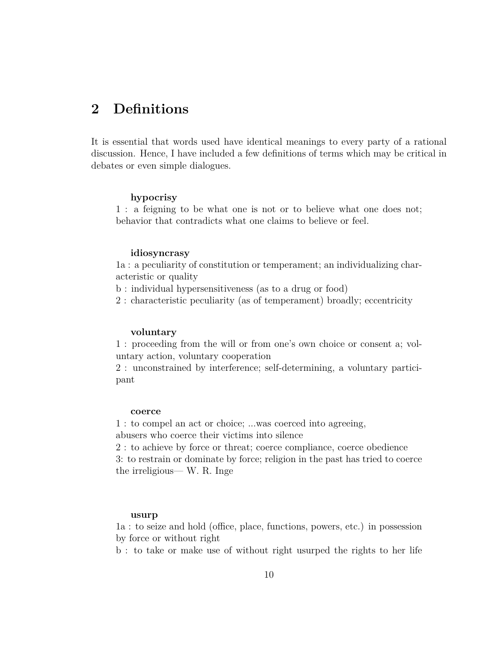# **2 Definitions**

It is essential that words used have identical meanings to every party of a rational discussion. Hence, I have included a few definitions of terms which may be critical in debates or even simple dialogues.

#### **hypocrisy**

1 : a feigning to be what one is not or to believe what one does not; behavior that contradicts what one claims to believe or feel.

#### **idiosyncrasy**

1a : a peculiarity of constitution or temperament; an individualizing characteristic or quality

b : individual hypersensitiveness (as to a drug or food)

2 : characteristic peculiarity (as of temperament) broadly; eccentricity

#### **voluntary**

1 : proceeding from the will or from one's own choice or consent a; voluntary action, voluntary cooperation

2 : unconstrained by interference; self-determining, a voluntary participant

#### **coerce**

1 : to compel an act or choice; ...was coerced into agreeing, abusers who coerce their victims into silence

2 : to achieve by force or threat; coerce compliance, coerce obedience

3: to restrain or dominate by force; religion in the past has tried to coerce the irreligious— W. R. Inge

#### **usurp**

1a : to seize and hold (office, place, functions, powers, etc.) in possession by force or without right

b : to take or make use of without right usurped the rights to her life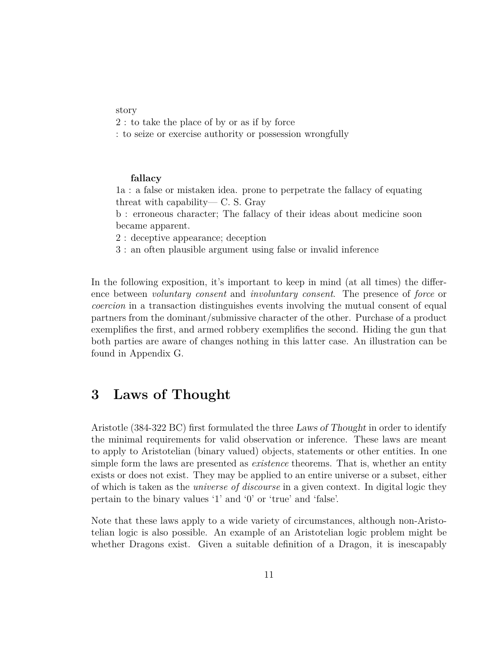#### story

2 : to take the place of by or as if by force

: to seize or exercise authority or possession wrongfully

#### **fallacy**

1a : a false or mistaken idea. prone to perpetrate the fallacy of equating threat with capability— C. S. Gray

b : erroneous character; The fallacy of their ideas about medicine soon became apparent.

2 : deceptive appearance; deception

3 : an often plausible argument using false or invalid inference

In the following exposition, it's important to keep in mind (at all times) the difference between *voluntary consent* and *involuntary consent*. The presence of *force* or *coercion* in a transaction distinguishes events involving the mutual consent of equal partners from the dominant/submissive character of the other. Purchase of a product exemplifies the first, and armed robbery exemplifies the second. Hiding the gun that both parties are aware of changes nothing in this latter case. An illustration can be found in Appendix G.

### **3 Laws of Thought**

Aristotle (384-322 BC) first formulated the three *Laws of Thought* in order to identify the minimal requirements for valid observation or inference. These laws are meant to apply to Aristotelian (binary valued) objects, statements or other entities. In one simple form the laws are presented as *existence* theorems. That is, whether an entity exists or does not exist. They may be applied to an entire universe or a subset, either of which is taken as the *universe of discourse* in a given context. In digital logic they pertain to the binary values '1' and '0' or 'true' and 'false'.

Note that these laws apply to a wide variety of circumstances, although non-Aristotelian logic is also possible. An example of an Aristotelian logic problem might be whether Dragons exist. Given a suitable definition of a Dragon, it is inescapably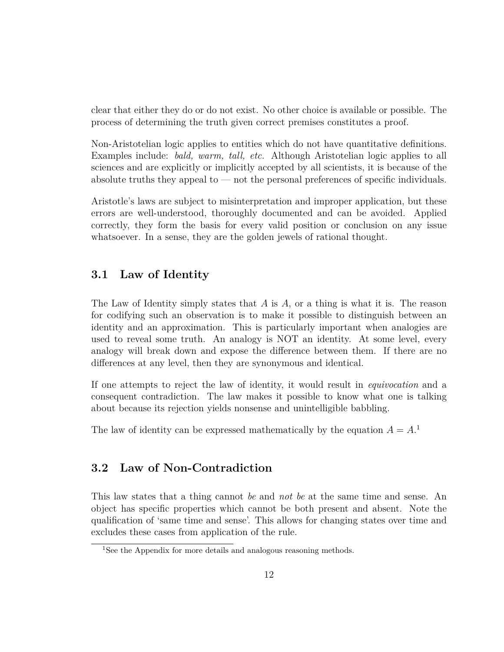clear that either they do or do not exist. No other choice is available or possible. The process of determining the truth given correct premises constitutes a proof.

Non-Aristotelian logic applies to entities which do not have quantitative definitions. Examples include: *bald, warm, tall, etc.* Although Aristotelian logic applies to all sciences and are explicitly or implicitly accepted by all scientists, it is because of the absolute truths they appeal to  $-$  not the personal preferences of specific individuals.

Aristotle's laws are subject to misinterpretation and improper application, but these errors are well-understood, thoroughly documented and can be avoided. Applied correctly, they form the basis for every valid position or conclusion on any issue whatsoever. In a sense, they are the golden jewels of rational thought.

### **3.1 Law of Identity**

The Law of Identity simply states that *A* is *A*, or a thing is what it is. The reason for codifying such an observation is to make it possible to distinguish between an identity and an approximation. This is particularly important when analogies are used to reveal some truth. An analogy is NOT an identity. At some level, every analogy will break down and expose the difference between them. If there are no differences at any level, then they are synonymous and identical.

If one attempts to reject the law of identity, it would result in *equivocation* and a consequent contradiction. The law makes it possible to know what one is talking about because its rejection yields nonsense and unintelligible babbling.

The law of identity can be expressed mathematically by the equation  $A = A$ <sup>1</sup>.

### **3.2 Law of Non-Contradiction**

This law states that a thing cannot *be* and *not be* at the same time and sense. An object has specific properties which cannot be both present and absent. Note the qualification of 'same time and sense'. This allows for changing states over time and excludes these cases from application of the rule.

<sup>&</sup>lt;sup>1</sup>See the Appendix for more details and analogous reasoning methods.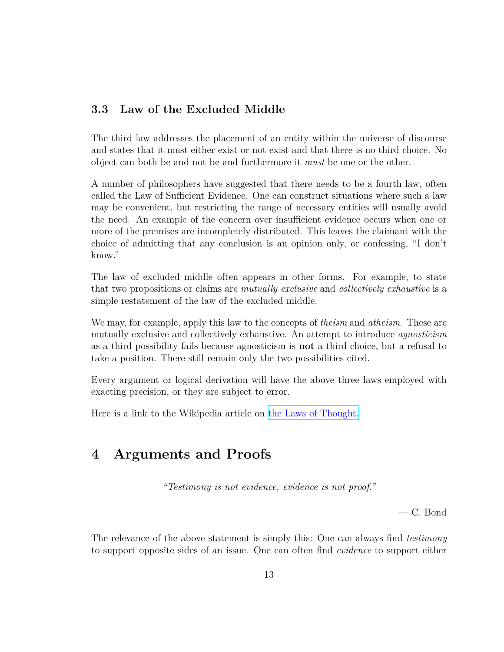### **3.3 Law of the Excluded Middle**

The third law addresses the placement of an entity within the universe of discourse and states that it must either exist or not exist and that there is no third choice. No object can both be and not be and furthermore it *must* be one or the other.

A number of philosophers have suggested that there needs to be a fourth law, often called the Law of Sufficient Evidence. One can construct situations where such a law may be convenient, but restricting the range of necessary entities will usually avoid the need. An example of the concern over insufficient evidence occurs when one or more of the premises are incompletely distributed. This leaves the claimant with the choice of admitting that any conclusion is an opinion only, or confessing, "I don't know."

The law of excluded middle often appears in other forms. For example, to state that two propositions or claims are *mutually exclusive* and *collectively exhaustive* is a simple restatement of the law of the excluded middle.

We may, for example, apply this law to the concepts of *theism* and *atheism*. These are mutually exclusive and collectively exhaustive. An attempt to introduce *agnosticism* as a third possibility fails because agnosticism is **not** a third choice, but a refusal to take a position. There still remain only the two possibilities cited.

Every argument or logical derivation will have the above three laws employed with exacting precision, or they are subject to error.

Here is a link to the Wikipedia article on [the Laws of Thought.](https://en.wikipedia.org/wiki/Law_of_thought)

# **4 Arguments and Proofs**

*"Testimony is not evidence, evidence is not proof."*

— C. Bond

The relevance of the above statement is simply this: One can always find *testimony* to support opposite sides of an issue. One can often find *evidence* to support either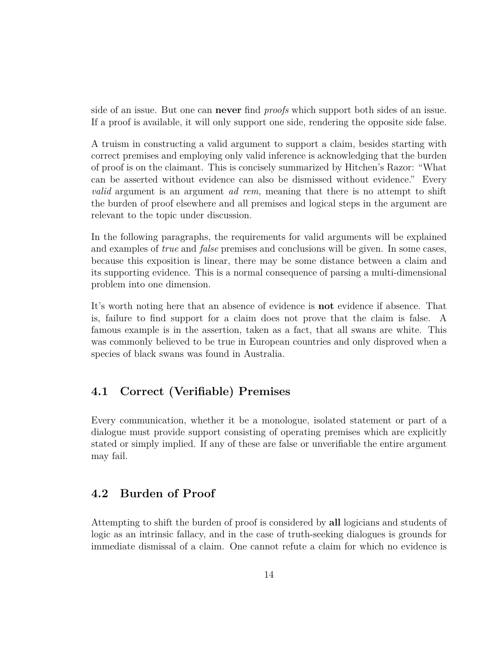side of an issue. But one can **never** find *proofs* which support both sides of an issue. If a proof is available, it will only support one side, rendering the opposite side false.

A truism in constructing a valid argument to support a claim, besides starting with correct premises and employing only valid inference is acknowledging that the burden of proof is on the claimant. This is concisely summarized by Hitchen's Razor: "What can be asserted without evidence can also be dismissed without evidence." Every *valid* argument is an argument *ad rem*, meaning that there is no attempt to shift the burden of proof elsewhere and all premises and logical steps in the argument are relevant to the topic under discussion.

In the following paragraphs, the requirements for valid arguments will be explained and examples of *true* and *false* premises and conclusions will be given. In some cases, because this exposition is linear, there may be some distance between a claim and its supporting evidence. This is a normal consequence of parsing a multi-dimensional problem into one dimension.

It's worth noting here that an absence of evidence is **not** evidence if absence. That is, failure to find support for a claim does not prove that the claim is false. A famous example is in the assertion, taken as a fact, that all swans are white. This was commonly believed to be true in European countries and only disproved when a species of black swans was found in Australia.

### **4.1 Correct (Verifiable) Premises**

Every communication, whether it be a monologue, isolated statement or part of a dialogue must provide support consisting of operating premises which are explicitly stated or simply implied. If any of these are false or unverifiable the entire argument may fail.

### **4.2 Burden of Proof**

Attempting to shift the burden of proof is considered by **all** logicians and students of logic as an intrinsic fallacy, and in the case of truth-seeking dialogues is grounds for immediate dismissal of a claim. One cannot refute a claim for which no evidence is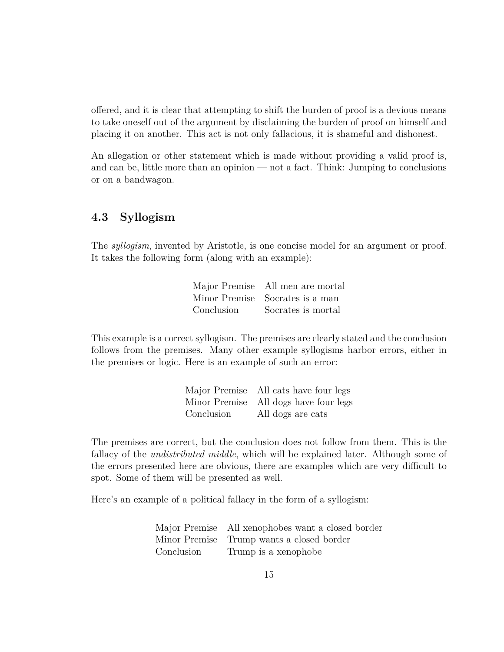offered, and it is clear that attempting to shift the burden of proof is a devious means to take oneself out of the argument by disclaiming the burden of proof on himself and placing it on another. This act is not only fallacious, it is shameful and dishonest.

An allegation or other statement which is made without providing a valid proof is, and can be, little more than an opinion — not a fact. Think: Jumping to conclusions or on a bandwagon.

#### **4.3 Syllogism**

The *syllogism*, invented by Aristotle, is one concise model for an argument or proof. It takes the following form (along with an example):

|            | Major Premise All men are mortal |
|------------|----------------------------------|
|            | Minor Premise Socrates is a man  |
| Conclusion | Socrates is mortal               |

This example is a correct syllogism. The premises are clearly stated and the conclusion follows from the premises. Many other example syllogisms harbor errors, either in the premises or logic. Here is an example of such an error:

|            | Major Premise All cats have four legs |
|------------|---------------------------------------|
|            | Minor Premise All dogs have four legs |
| Conclusion | All dogs are cats                     |

The premises are correct, but the conclusion does not follow from them. This is the fallacy of the *undistributed middle*, which will be explained later. Although some of the errors presented here are obvious, there are examples which are very difficult to spot. Some of them will be presented as well.

Here's an example of a political fallacy in the form of a syllogism:

|            | Major Premise All xenophobes want a closed border |
|------------|---------------------------------------------------|
|            | Minor Premise Trump wants a closed border         |
| Conclusion | Trump is a xenophobe                              |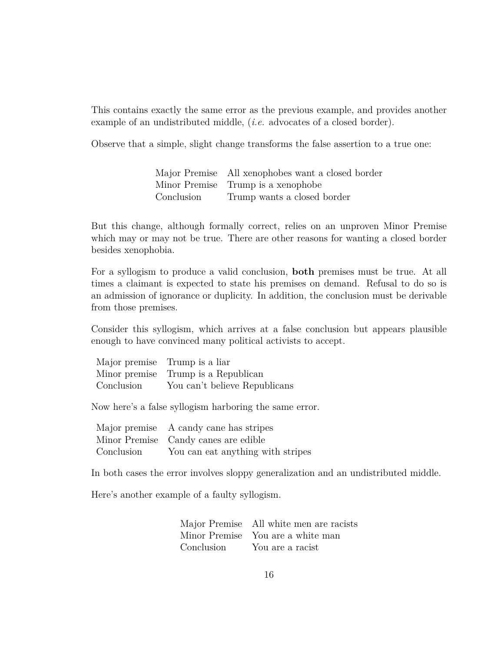This contains exactly the same error as the previous example, and provides another example of an undistributed middle, *(i.e.* advocates of a closed border).

Observe that a simple, slight change transforms the false assertion to a true one:

|            | Major Premise All xenophobes want a closed border |
|------------|---------------------------------------------------|
|            | Minor Premise Trump is a xenophobe                |
| Conclusion | Trump wants a closed border                       |

But this change, although formally correct, relies on an unproven Minor Premise which may or may not be true. There are other reasons for wanting a closed border besides xenophobia.

For a syllogism to produce a valid conclusion, **both** premises must be true. At all times a claimant is expected to state his premises on demand. Refusal to do so is an admission of ignorance or duplicity. In addition, the conclusion must be derivable from those premises.

Consider this syllogism, which arrives at a false conclusion but appears plausible enough to have convinced many political activists to accept.

|            | Major premise Trump is a liar       |
|------------|-------------------------------------|
|            | Minor premise Trump is a Republican |
| Conclusion | You can't believe Republicans       |

Now here's a false syllogism harboring the same error.

|            | Major premise A candy cane has stripes |
|------------|----------------------------------------|
|            | Minor Premise Candy canes are edible   |
| Conclusion | You can eat anything with stripes      |

In both cases the error involves sloppy generalization and an undistributed middle.

Here's another example of a faulty syllogism.

Major Premise All white men are racists Minor Premise You are a white man Conclusion You are a racist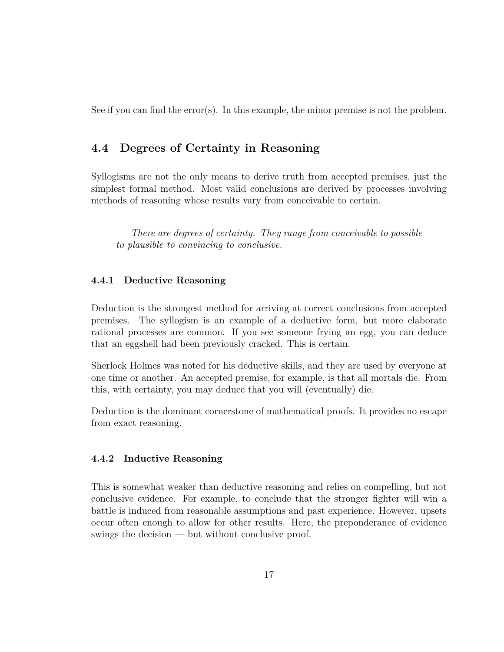See if you can find the error(s). In this example, the minor premise is not the problem.

#### **4.4 Degrees of Certainty in Reasoning**

Syllogisms are not the only means to derive truth from accepted premises, just the simplest formal method. Most valid conclusions are derived by processes involving methods of reasoning whose results vary from conceivable to certain.

*There are degrees of certainty. They range from conceivable to possible to plausible to convincing to conclusive.*

#### **4.4.1 Deductive Reasoning**

Deduction is the strongest method for arriving at correct conclusions from accepted premises. The syllogism is an example of a deductive form, but more elaborate rational processes are common. If you see someone frying an egg, you can deduce that an eggshell had been previously cracked. This is certain.

Sherlock Holmes was noted for his deductive skills, and they are used by everyone at one time or another. An accepted premise, for example, is that all mortals die. From this, with certainty, you may deduce that you will (eventually) die.

Deduction is the dominant cornerstone of mathematical proofs. It provides no escape from exact reasoning.

#### **4.4.2 Inductive Reasoning**

This is somewhat weaker than deductive reasoning and relies on compelling, but not conclusive evidence. For example, to conclude that the stronger fighter will win a battle is induced from reasonable assumptions and past experience. However, upsets occur often enough to allow for other results. Here, the preponderance of evidence swings the decision — but without conclusive proof.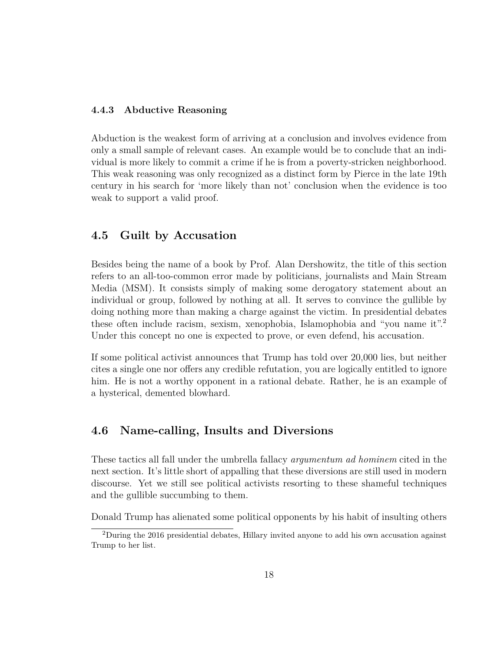#### **4.4.3 Abductive Reasoning**

Abduction is the weakest form of arriving at a conclusion and involves evidence from only a small sample of relevant cases. An example would be to conclude that an individual is more likely to commit a crime if he is from a poverty-stricken neighborhood. This weak reasoning was only recognized as a distinct form by Pierce in the late 19th century in his search for 'more likely than not' conclusion when the evidence is too weak to support a valid proof.

#### **4.5 Guilt by Accusation**

Besides being the name of a book by Prof. Alan Dershowitz, the title of this section refers to an all-too-common error made by politicians, journalists and Main Stream Media (MSM). It consists simply of making some derogatory statement about an individual or group, followed by nothing at all. It serves to convince the gullible by doing nothing more than making a charge against the victim. In presidential debates these often include racism, sexism, xenophobia, Islamophobia and "you name it".<sup>2</sup> Under this concept no one is expected to prove, or even defend, his accusation.

If some political activist announces that Trump has told over 20,000 lies, but neither cites a single one nor offers any credible refutation, you are logically entitled to ignore him. He is not a worthy opponent in a rational debate. Rather, he is an example of a hysterical, demented blowhard.

#### **4.6 Name-calling, Insults and Diversions**

These tactics all fall under the umbrella fallacy *argumentum ad hominem* cited in the next section. It's little short of appalling that these diversions are still used in modern discourse. Yet we still see political activists resorting to these shameful techniques and the gullible succumbing to them.

Donald Trump has alienated some political opponents by his habit of insulting others

 $2$ During the 2016 presidential debates, Hillary invited anyone to add his own accusation against Trump to her list.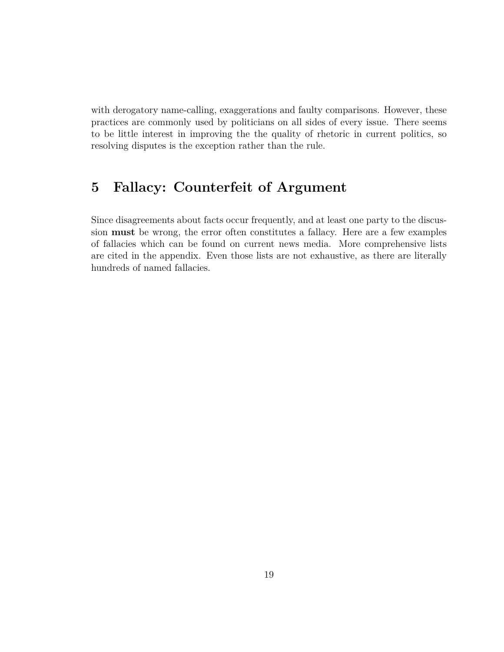with derogatory name-calling, exaggerations and faulty comparisons. However, these practices are commonly used by politicians on all sides of every issue. There seems to be little interest in improving the the quality of rhetoric in current politics, so resolving disputes is the exception rather than the rule.

# **5 Fallacy: Counterfeit of Argument**

Since disagreements about facts occur frequently, and at least one party to the discussion **must** be wrong, the error often constitutes a fallacy. Here are a few examples of fallacies which can be found on current news media. More comprehensive lists are cited in the appendix. Even those lists are not exhaustive, as there are literally hundreds of named fallacies.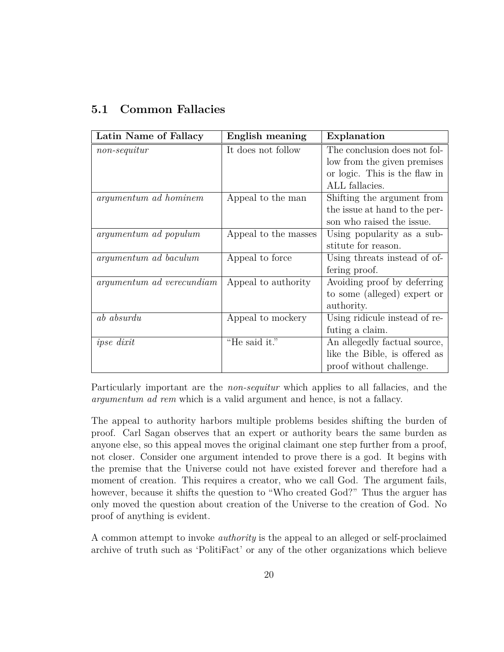### **5.1 Common Fallacies**

| Latin Name of Fallacy        | English meaning      | Explanation                   |
|------------------------------|----------------------|-------------------------------|
| $non-sequentur$              | It does not follow   | The conclusion does not fol-  |
|                              |                      | low from the given premises   |
|                              |                      | or logic. This is the flaw in |
|                              |                      | ALL fallacies.                |
| argumentum ad hominem        | Appeal to the man    | Shifting the argument from    |
|                              |                      | the issue at hand to the per- |
|                              |                      | son who raised the issue.     |
| argumentum ad populum        | Appeal to the masses | Using popularity as a sub-    |
|                              |                      | stitute for reason.           |
| <i>argumentum ad baculum</i> | Appeal to force      | Using threats instead of of-  |
|                              |                      | fering proof.                 |
| argumentum ad verecundiam    | Appeal to authority  | Avoiding proof by deferring   |
|                              |                      | to some (alleged) expert or   |
|                              |                      | authority.                    |
| ab absurdu                   | Appeal to mockery    | Using ridicule instead of re- |
|                              |                      | futing a claim.               |
| ipse dixit                   | "He said it."        | An allegedly factual source,  |
|                              |                      | like the Bible, is offered as |
|                              |                      | proof without challenge.      |

Particularly important are the *non-sequitur* which applies to all fallacies, and the *argumentum ad rem* which is a valid argument and hence, is not a fallacy.

The appeal to authority harbors multiple problems besides shifting the burden of proof. Carl Sagan observes that an expert or authority bears the same burden as anyone else, so this appeal moves the original claimant one step further from a proof, not closer. Consider one argument intended to prove there is a god. It begins with the premise that the Universe could not have existed forever and therefore had a moment of creation. This requires a creator, who we call God. The argument fails, however, because it shifts the question to "Who created God?" Thus the arguer has only moved the question about creation of the Universe to the creation of God. No proof of anything is evident.

A common attempt to invoke *authority* is the appeal to an alleged or self-proclaimed archive of truth such as 'PolitiFact' or any of the other organizations which believe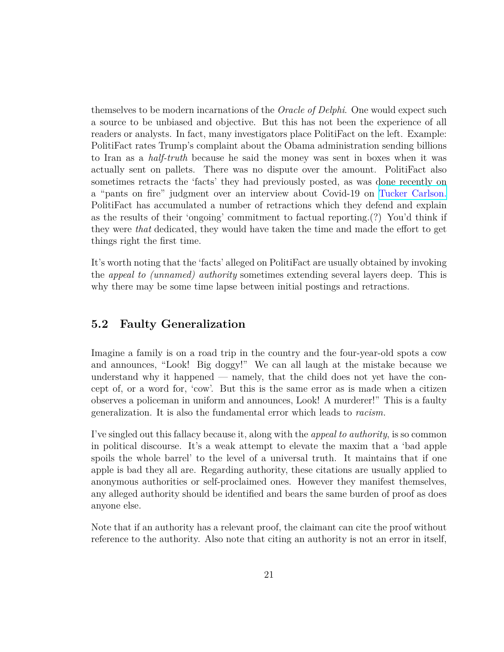themselves to be modern incarnations of the *Oracle of Delphi*. One would expect such a source to be unbiased and objective. But this has not been the experience of all readers or analysts. In fact, many investigators place PolitiFact on the left. Example: PolitiFact rates Trump's complaint about the Obama administration sending billions to Iran as a *half-truth* because he said the money was sent in boxes when it was actually sent on pallets. There was no dispute over the amount. PolitiFact also sometimes retracts the 'facts' they had previously posted, as was done recently on a "pants on fire" judgment over an interview about Covid-19 on [Tucker Carlson.](https://www.newsmax.com/newsfront/covid19-wuhanlab-politifact/2021/05/20/id/1022175/) PolitiFact has accumulated a number of retractions which they defend and explain as the results of their 'ongoing' commitment to factual reporting.(?) You'd think if they were *that* dedicated, they would have taken the time and made the effort to get things right the first time.

It's worth noting that the 'facts' alleged on PolitiFact are usually obtained by invoking the *appeal to (unnamed) authority* sometimes extending several layers deep. This is why there may be some time lapse between initial postings and retractions.

#### **5.2 Faulty Generalization**

Imagine a family is on a road trip in the country and the four-year-old spots a cow and announces, "Look! Big doggy!" We can all laugh at the mistake because we understand why it happened — namely, that the child does not yet have the concept of, or a word for, 'cow'. But this is the same error as is made when a citizen observes a policeman in uniform and announces, Look! A murderer!" This is a faulty generalization. It is also the fundamental error which leads to *racism.*

I've singled out this fallacy because it, along with the *appeal to authority*, is so common in political discourse. It's a weak attempt to elevate the maxim that a 'bad apple spoils the whole barrel' to the level of a universal truth. It maintains that if one apple is bad they all are. Regarding authority, these citations are usually applied to anonymous authorities or self-proclaimed ones. However they manifest themselves, any alleged authority should be identified and bears the same burden of proof as does anyone else.

Note that if an authority has a relevant proof, the claimant can cite the proof without reference to the authority. Also note that citing an authority is not an error in itself,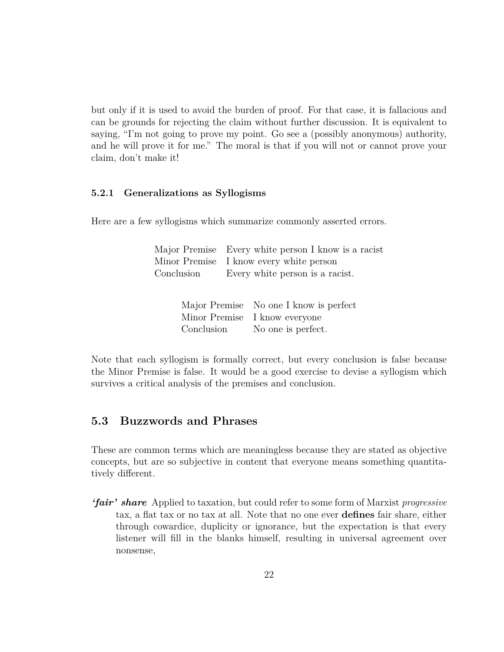but only if it is used to avoid the burden of proof. For that case, it is fallacious and can be grounds for rejecting the claim without further discussion. It is equivalent to saying, "I'm not going to prove my point. Go see a (possibly anonymous) authority, and he will prove it for me." The moral is that if you will not or cannot prove your claim, don't make it!

#### **5.2.1 Generalizations as Syllogisms**

Here are a few syllogisms which summarize commonly asserted errors.

| Major Premise Every white person I know is a racist |
|-----------------------------------------------------|
| Minor Premise I know every white person             |
| Conclusion Every white person is a racist.          |
|                                                     |
|                                                     |

|            | Major Premise No one I know is perfect |
|------------|----------------------------------------|
|            | Minor Premise I know everyone          |
| Conclusion | No one is perfect.                     |

Note that each syllogism is formally correct, but every conclusion is false because the Minor Premise is false. It would be a good exercise to devise a syllogism which survives a critical analysis of the premises and conclusion.

#### **5.3 Buzzwords and Phrases**

These are common terms which are meaningless because they are stated as objective concepts, but are so subjective in content that everyone means something quantitatively different.

*'fair' share* Applied to taxation, but could refer to some form of Marxist *progressive* tax, a flat tax or no tax at all. Note that no one ever **defines** fair share, either through cowardice, duplicity or ignorance, but the expectation is that every listener will fill in the blanks himself, resulting in universal agreement over nonsense,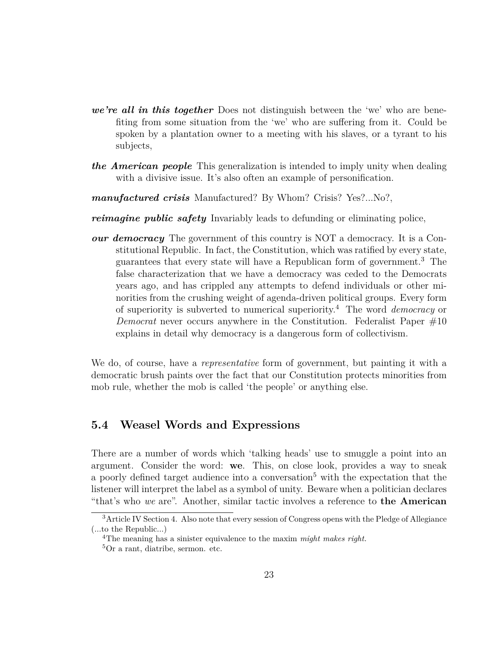- *we're all in this together* Does not distinguish between the 'we' who are benefiting from some situation from the 'we' who are suffering from it. Could be spoken by a plantation owner to a meeting with his slaves, or a tyrant to his subjects,
- *the American people* This generalization is intended to imply unity when dealing with a divisive issue. It's also often an example of personification.
- *manufactured crisis* Manufactured? By Whom? Crisis? Yes?...No?,
- *reimagine public safety* Invariably leads to defunding or eliminating police,
- *our democracy* The government of this country is NOT a democracy. It is a Constitutional Republic. In fact, the Constitution, which was ratified by every state, guarantees that every state will have a Republican form of government.<sup>3</sup> The false characterization that we have a democracy was ceded to the Democrats years ago, and has crippled any attempts to defend individuals or other minorities from the crushing weight of agenda-driven political groups. Every form of superiority is subverted to numerical superiority.<sup>4</sup> The word *democracy* or *Democrat* never occurs anywhere in the Constitution. Federalist Paper #10 explains in detail why democracy is a dangerous form of collectivism.

We do, of course, have a *representative* form of government, but painting it with a democratic brush paints over the fact that our Constitution protects minorities from mob rule, whether the mob is called 'the people' or anything else.

#### **5.4 Weasel Words and Expressions**

There are a number of words which 'talking heads' use to smuggle a point into an argument. Consider the word: **we**. This, on close look, provides a way to sneak a poorly defined target audience into a conversation<sup>5</sup> with the expectation that the listener will interpret the label as a symbol of unity. Beware when a politician declares "that's who *we* are". Another, similar tactic involves a reference to **the American**

<sup>&</sup>lt;sup>3</sup>Article IV Section 4. Also note that every session of Congress opens with the Pledge of Allegiance (...to the Republic...)

<sup>4</sup>The meaning has a sinister equivalence to the maxim *might makes right.* <sup>5</sup>Or a rant, diatribe, sermon. etc.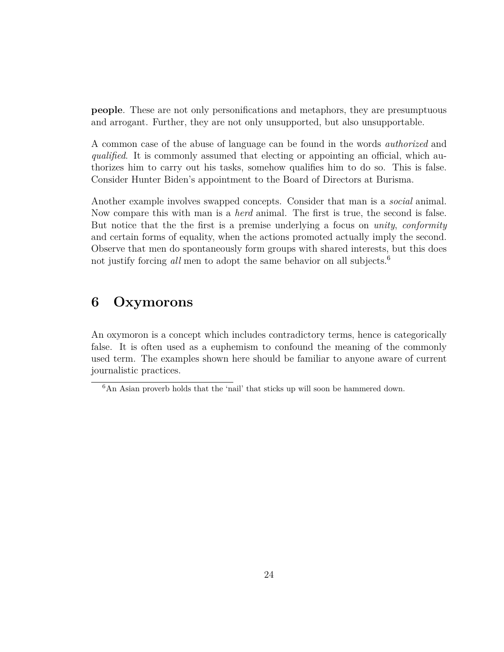**people**. These are not only personifications and metaphors, they are presumptuous and arrogant. Further, they are not only unsupported, but also unsupportable.

A common case of the abuse of language can be found in the words *authorized* and *qualified*. It is commonly assumed that electing or appointing an official, which authorizes him to carry out his tasks, somehow qualifies him to do so. This is false. Consider Hunter Biden's appointment to the Board of Directors at Burisma.

Another example involves swapped concepts. Consider that man is a *social* animal. Now compare this with man is a *herd* animal. The first is true, the second is false. But notice that the the first is a premise underlying a focus on *unity*, *conformity* and certain forms of equality, when the actions promoted actually imply the second. Observe that men do spontaneously form groups with shared interests, but this does not justify forcing *all* men to adopt the same behavior on all subjects.<sup>6</sup>

# **6 Oxymorons**

An oxymoron is a concept which includes contradictory terms, hence is categorically false. It is often used as a euphemism to confound the meaning of the commonly used term. The examples shown here should be familiar to anyone aware of current journalistic practices.

<sup>&</sup>lt;sup>6</sup>An Asian proverb holds that the 'nail' that sticks up will soon be hammered down.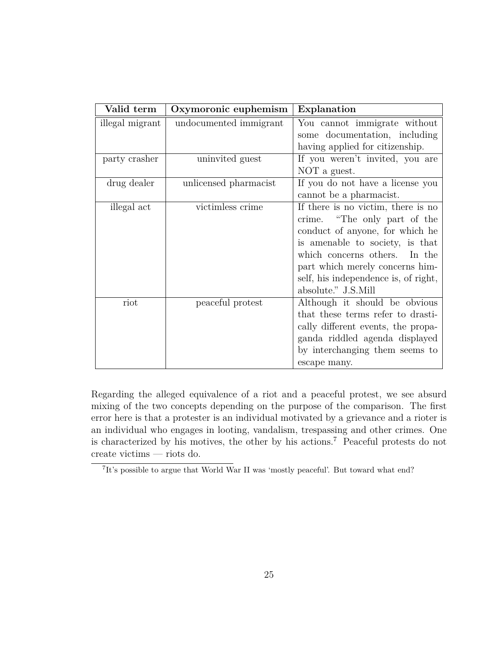| Valid term      | Oxymoronic euphemism   | Explanation                          |  |  |  |
|-----------------|------------------------|--------------------------------------|--|--|--|
| illegal migrant | undocumented immigrant | You cannot immigrate without         |  |  |  |
|                 |                        | some documentation, including        |  |  |  |
|                 |                        | having applied for citizenship.      |  |  |  |
| party crasher   | uninvited guest        | If you weren't invited, you are      |  |  |  |
|                 |                        | NOT a guest.                         |  |  |  |
| drug dealer     | unlicensed pharmacist  | If you do not have a license you     |  |  |  |
|                 |                        | cannot be a pharmacist.              |  |  |  |
| illegal act     | victimless crime       | If there is no victim, there is no   |  |  |  |
|                 |                        | crime. "The only part of the         |  |  |  |
|                 |                        | conduct of anyone, for which he      |  |  |  |
|                 |                        | is amenable to society, is that      |  |  |  |
|                 |                        | which concerns others. In the        |  |  |  |
|                 |                        | part which merely concerns him-      |  |  |  |
|                 |                        | self, his independence is, of right, |  |  |  |
|                 |                        | absolute." J.S.Mill                  |  |  |  |
| riot            | peaceful protest       | Although it should be obvious        |  |  |  |
|                 |                        | that these terms refer to drasti-    |  |  |  |
|                 |                        | cally different events, the propa-   |  |  |  |
|                 |                        | ganda riddled agenda displayed       |  |  |  |
|                 |                        | by interchanging them seems to       |  |  |  |
|                 |                        | escape many.                         |  |  |  |

Regarding the alleged equivalence of a riot and a peaceful protest, we see absurd mixing of the two concepts depending on the purpose of the comparison. The first error here is that a protester is an individual motivated by a grievance and a rioter is an individual who engages in looting, vandalism, trespassing and other crimes. One is characterized by his motives, the other by his actions.<sup>7</sup> Peaceful protests do not create victims — riots do.

<sup>&</sup>lt;sup>7</sup>It's possible to argue that World War II was 'mostly peaceful'. But toward what end?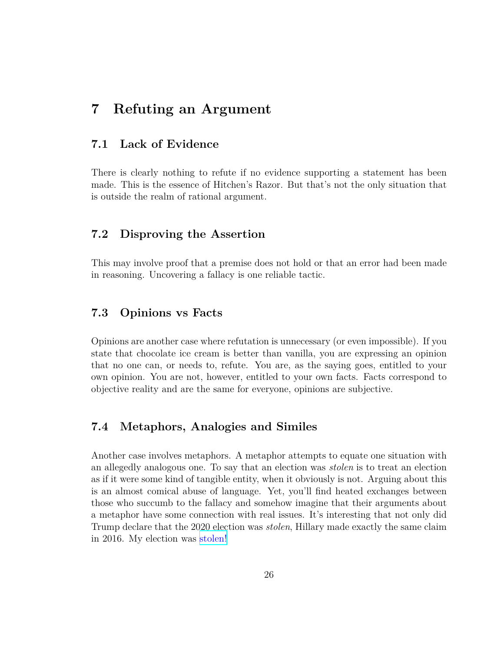### **7 Refuting an Argument**

#### **7.1 Lack of Evidence**

There is clearly nothing to refute if no evidence supporting a statement has been made. This is the essence of Hitchen's Razor. But that's not the only situation that is outside the realm of rational argument.

#### **7.2 Disproving the Assertion**

This may involve proof that a premise does not hold or that an error had been made in reasoning. Uncovering a fallacy is one reliable tactic.

#### **7.3 Opinions vs Facts**

Opinions are another case where refutation is unnecessary (or even impossible). If you state that chocolate ice cream is better than vanilla, you are expressing an opinion that no one can, or needs to, refute. You are, as the saying goes, entitled to your own opinion. You are not, however, entitled to your own facts. Facts correspond to objective reality and are the same for everyone, opinions are subjective.

#### **7.4 Metaphors, Analogies and Similes**

Another case involves metaphors. A metaphor attempts to equate one situation with an allegedly analogous one. To say that an election was *stolen* is to treat an election as if it were some kind of tangible entity, when it obviously is not. Arguing about this is an almost comical abuse of language. Yet, you'll find heated exchanges between those who succumb to the fallacy and somehow imagine that their arguments about a metaphor have some connection with real issues. It's interesting that not only did Trump declare that the 2020 election was *stolen*, Hillary made exactly the same claim in 2016. My election was [stolen!](https://www.youtube.com/watch?v=hUqxX0YAafg)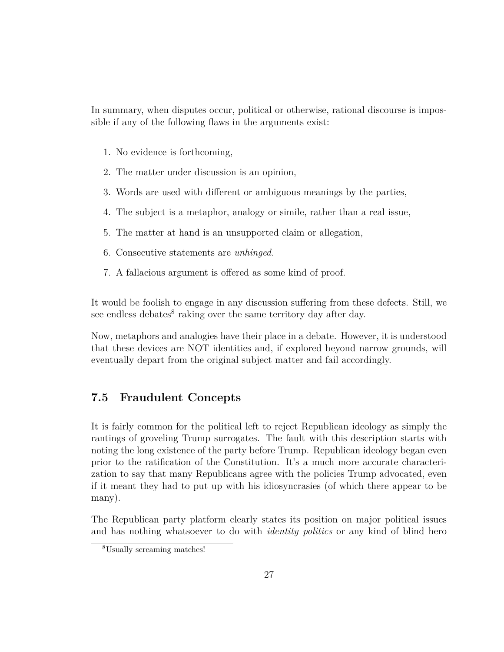In summary, when disputes occur, political or otherwise, rational discourse is impossible if any of the following flaws in the arguments exist:

- 1. No evidence is forthcoming,
- 2. The matter under discussion is an opinion,
- 3. Words are used with different or ambiguous meanings by the parties,
- 4. The subject is a metaphor, analogy or simile, rather than a real issue,
- 5. The matter at hand is an unsupported claim or allegation,
- 6. Consecutive statements are *unhinged*.
- 7. A fallacious argument is offered as some kind of proof.

It would be foolish to engage in any discussion suffering from these defects. Still, we see endless debates<sup>8</sup> raking over the same territory day after day.

Now, metaphors and analogies have their place in a debate. However, it is understood that these devices are NOT identities and, if explored beyond narrow grounds, will eventually depart from the original subject matter and fail accordingly.

### **7.5 Fraudulent Concepts**

It is fairly common for the political left to reject Republican ideology as simply the rantings of groveling Trump surrogates. The fault with this description starts with noting the long existence of the party before Trump. Republican ideology began even prior to the ratification of the Constitution. It's a much more accurate characterization to say that many Republicans agree with the policies Trump advocated, even if it meant they had to put up with his idiosyncrasies (of which there appear to be many).

The Republican party platform clearly states its position on major political issues and has nothing whatsoever to do with *identity politics* or any kind of blind hero

<sup>8</sup>Usually screaming matches!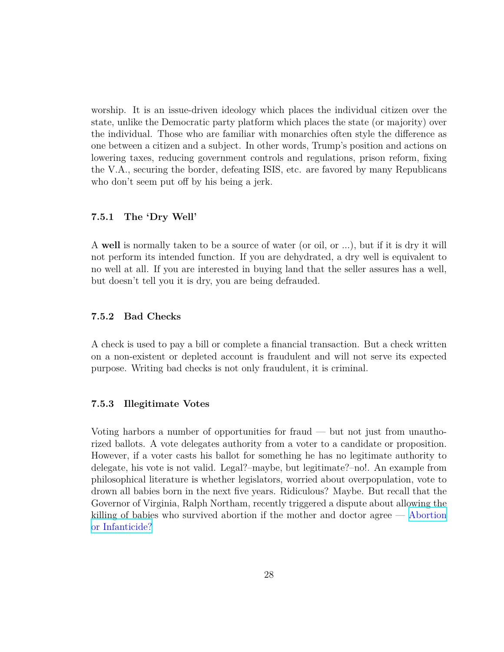worship. It is an issue-driven ideology which places the individual citizen over the state, unlike the Democratic party platform which places the state (or majority) over the individual. Those who are familiar with monarchies often style the difference as one between a citizen and a subject. In other words, Trump's position and actions on lowering taxes, reducing government controls and regulations, prison reform, fixing the V.A., securing the border, defeating ISIS, etc. are favored by many Republicans who don't seem put off by his being a jerk.

#### **7.5.1 The 'Dry Well'**

A **well** is normally taken to be a source of water (or oil, or ...), but if it is dry it will not perform its intended function. If you are dehydrated, a dry well is equivalent to no well at all. If you are interested in buying land that the seller assures has a well, but doesn't tell you it is dry, you are being defrauded.

#### **7.5.2 Bad Checks**

A check is used to pay a bill or complete a financial transaction. But a check written on a non-existent or depleted account is fraudulent and will not serve its expected purpose. Writing bad checks is not only fraudulent, it is criminal.

#### **7.5.3 Illegitimate Votes**

Voting harbors a number of opportunities for fraud — but not just from unauthorized ballots. A vote delegates authority from a voter to a candidate or proposition. However, if a voter casts his ballot for something he has no legitimate authority to delegate, his vote is not valid. Legal?–maybe, but legitimate?–no!. An example from philosophical literature is whether legislators, worried about overpopulation, vote to drown all babies born in the next five years. Ridiculous? Maybe. But recall that the Governor of Virginia, Ralph Northam, recently triggered a dispute about allowing the killing of babies who survived abortion if the mother and doctor agree — [Abortion](https://cnsnews.com/news/article/emily-ward/virginia-governor-describes-how-post-birth-abortion-would-proceed) [or Infanticide?](https://cnsnews.com/news/article/emily-ward/virginia-governor-describes-how-post-birth-abortion-would-proceed)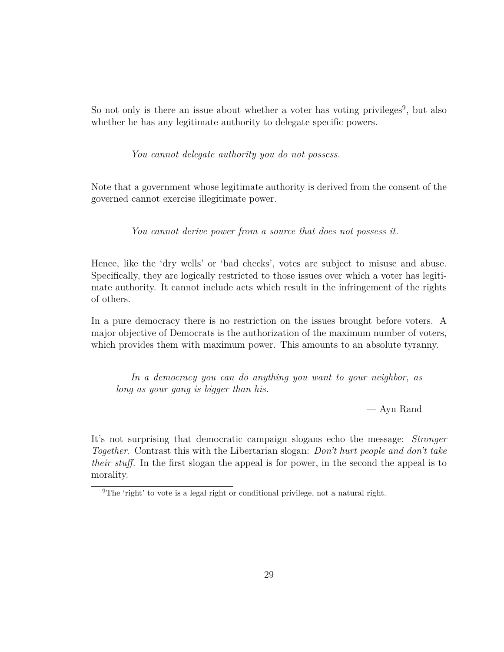So not only is there an issue about whether a voter has voting privileges<sup>9</sup>, but also whether he has any legitimate authority to delegate specific powers.

*You cannot delegate authority you do not possess.*

Note that a government whose legitimate authority is derived from the consent of the governed cannot exercise illegitimate power.

*You cannot derive power from a source that does not possess it.*

Hence, like the 'dry wells' or 'bad checks', votes are subject to misuse and abuse. Specifically, they are logically restricted to those issues over which a voter has legitimate authority. It cannot include acts which result in the infringement of the rights of others.

In a pure democracy there is no restriction on the issues brought before voters. A major objective of Democrats is the authorization of the maximum number of voters, which provides them with maximum power. This amounts to an absolute tyranny.

*In a democracy you can do anything you want to your neighbor, as long as your gang is bigger than his.*

— Ayn Rand

It's not surprising that democratic campaign slogans echo the message: *Stronger Together.* Contrast this with the Libertarian slogan: *Don't hurt people and don't take their stuff.* In the first slogan the appeal is for power, in the second the appeal is to morality.

<sup>&</sup>lt;sup>9</sup>The 'right' to vote is a legal right or conditional privilege, not a natural right.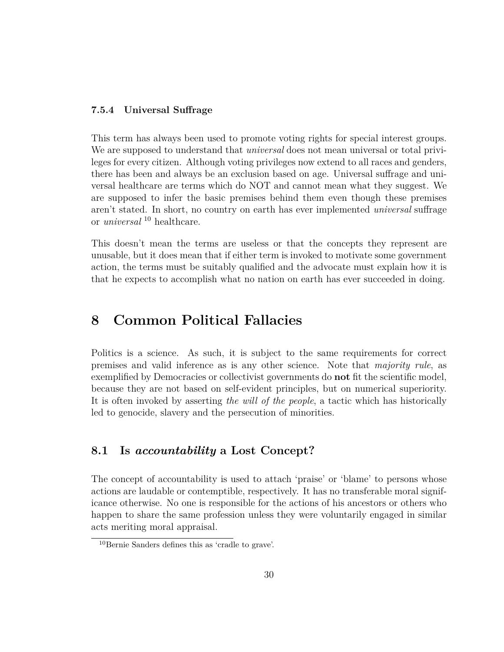#### **7.5.4 Universal Suffrage**

This term has always been used to promote voting rights for special interest groups. We are supposed to understand that *universal* does not mean universal or total privileges for every citizen. Although voting privileges now extend to all races and genders, there has been and always be an exclusion based on age. Universal suffrage and universal healthcare are terms which do NOT and cannot mean what they suggest. We are supposed to infer the basic premises behind them even though these premises aren't stated. In short, no country on earth has ever implemented *universal* suffrage or *universal* <sup>10</sup> healthcare.

This doesn't mean the terms are useless or that the concepts they represent are unusable, but it does mean that if either term is invoked to motivate some government action, the terms must be suitably qualified and the advocate must explain how it is that he expects to accomplish what no nation on earth has ever succeeded in doing.

# **8 Common Political Fallacies**

Politics is a science. As such, it is subject to the same requirements for correct premises and valid inference as is any other science. Note that *majority rule*, as exemplified by Democracies or collectivist governments do **not** fit the scientific model, because they are not based on self-evident principles, but on numerical superiority. It is often invoked by asserting *the will of the people*, a tactic which has historically led to genocide, slavery and the persecution of minorities.

#### **8.1 Is** *accountability* **a Lost Concept?**

The concept of accountability is used to attach 'praise' or 'blame' to persons whose actions are laudable or contemptible, respectively. It has no transferable moral significance otherwise. No one is responsible for the actions of his ancestors or others who happen to share the same profession unless they were voluntarily engaged in similar acts meriting moral appraisal.

<sup>10</sup>Bernie Sanders defines this as 'cradle to grave'.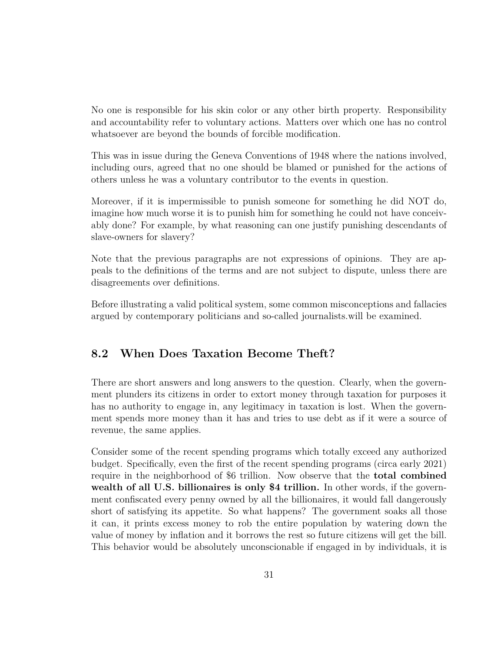No one is responsible for his skin color or any other birth property. Responsibility and accountability refer to voluntary actions. Matters over which one has no control whatsoever are beyond the bounds of forcible modification.

This was in issue during the Geneva Conventions of 1948 where the nations involved, including ours, agreed that no one should be blamed or punished for the actions of others unless he was a voluntary contributor to the events in question.

Moreover, if it is impermissible to punish someone for something he did NOT do, imagine how much worse it is to punish him for something he could not have conceivably done? For example, by what reasoning can one justify punishing descendants of slave-owners for slavery?

Note that the previous paragraphs are not expressions of opinions. They are appeals to the definitions of the terms and are not subject to dispute, unless there are disagreements over definitions.

Before illustrating a valid political system, some common misconceptions and fallacies argued by contemporary politicians and so-called journalists.will be examined.

### **8.2 When Does Taxation Become Theft?**

There are short answers and long answers to the question. Clearly, when the government plunders its citizens in order to extort money through taxation for purposes it has no authority to engage in, any legitimacy in taxation is lost. When the government spends more money than it has and tries to use debt as if it were a source of revenue, the same applies.

Consider some of the recent spending programs which totally exceed any authorized budget. Specifically, even the first of the recent spending programs (circa early 2021) require in the neighborhood of \$6 trillion. Now observe that the **total combined wealth of all U.S. billionaires is only \$4 trillion.** In other words, if the government confiscated every penny owned by all the billionaires, it would fall dangerously short of satisfying its appetite. So what happens? The government soaks all those it can, it prints excess money to rob the entire population by watering down the value of money by inflation and it borrows the rest so future citizens will get the bill. This behavior would be absolutely unconscionable if engaged in by individuals, it is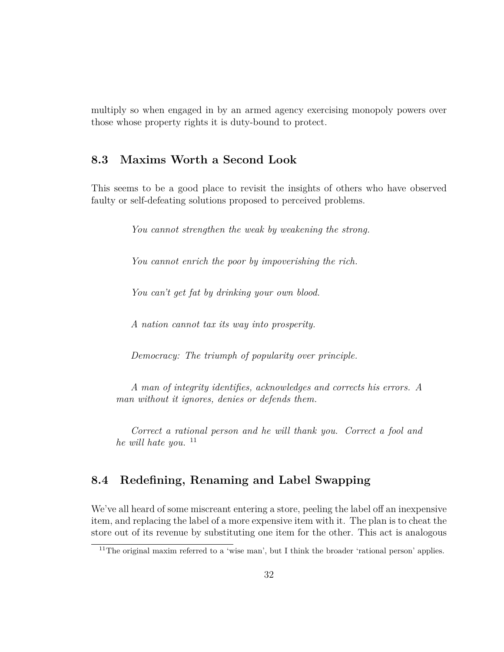multiply so when engaged in by an armed agency exercising monopoly powers over those whose property rights it is duty-bound to protect.

### **8.3 Maxims Worth a Second Look**

This seems to be a good place to revisit the insights of others who have observed faulty or self-defeating solutions proposed to perceived problems.

*You cannot strengthen the weak by weakening the strong.*

*You cannot enrich the poor by impoverishing the rich.*

*You can't get fat by drinking your own blood.*

*A nation cannot tax its way into prosperity.*

*Democracy: The triumph of popularity over principle.*

*A man of integrity identifies, acknowledges and corrects his errors. A man without it ignores, denies or defends them.*

*Correct a rational person and he will thank you. Correct a fool and he will hate you.* <sup>11</sup>

#### **8.4 Redefining, Renaming and Label Swapping**

We've all heard of some miscreant entering a store, peeling the label off an inexpensive item, and replacing the label of a more expensive item with it. The plan is to cheat the store out of its revenue by substituting one item for the other. This act is analogous

<sup>&</sup>lt;sup>11</sup>The original maxim referred to a 'wise man', but I think the broader 'rational person' applies.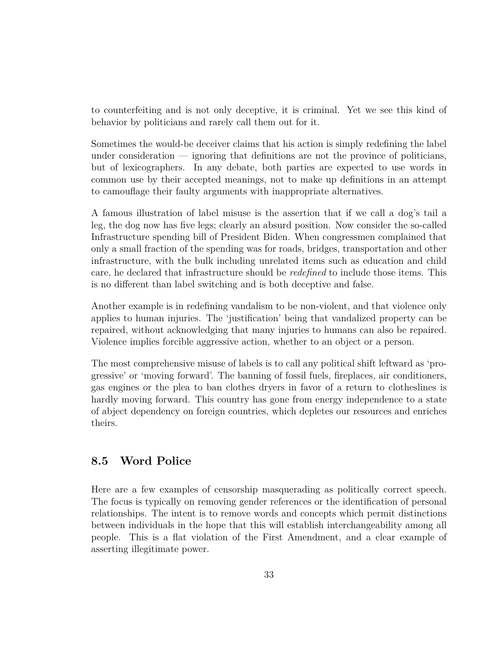to counterfeiting and is not only deceptive, it is criminal. Yet we see this kind of behavior by politicians and rarely call them out for it.

Sometimes the would-be deceiver claims that his action is simply redefining the label under consideration  $\frac{1}{2}$  ignoring that definitions are not the province of politicians, but of lexicographers. In any debate, both parties are expected to use words in common use by their accepted meanings, not to make up definitions in an attempt to camouflage their faulty arguments with inappropriate alternatives.

A famous illustration of label misuse is the assertion that if we call a dog's tail a leg, the dog now has five legs; clearly an absurd position. Now consider the so-called Infrastructure spending bill of President Biden. When congressmen complained that only a small fraction of the spending was for roads, bridges, transportation and other infrastructure, with the bulk including unrelated items such as education and child care, he declared that infrastructure should be *redefined* to include those items. This is no different than label switching and is both deceptive and false.

Another example is in redefining vandalism to be non-violent, and that violence only applies to human injuries. The 'justification' being that vandalized property can be repaired, without acknowledging that many injuries to humans can also be repaired. Violence implies forcible aggressive action, whether to an object or a person.

The most comprehensive misuse of labels is to call any political shift leftward as 'progressive' or 'moving forward'. The banning of fossil fuels, fireplaces, air conditioners, gas engines or the plea to ban clothes dryers in favor of a return to clotheslines is hardly moving forward. This country has gone from energy independence to a state of abject dependency on foreign countries, which depletes our resources and enriches theirs.

#### **8.5 Word Police**

Here are a few examples of censorship masquerading as politically correct speech. The focus is typically on removing gender references or the identification of personal relationships. The intent is to remove words and concepts which permit distinctions between individuals in the hope that this will establish interchangeability among all people. This is a flat violation of the First Amendment, and a clear example of asserting illegitimate power.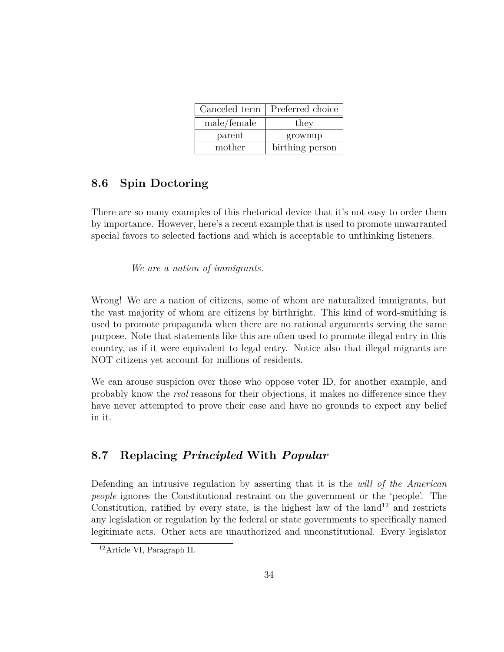|             | Canceled term   Preferred choice |
|-------------|----------------------------------|
| male/female | they                             |
| parent      | grownup                          |
| mother      | birthing person                  |

### **8.6 Spin Doctoring**

There are so many examples of this rhetorical device that it's not easy to order them by importance. However, here's a recent example that is used to promote unwarranted special favors to selected factions and which is acceptable to unthinking listeners.

*We are a nation of immigrants.*

Wrong! We are a nation of citizens, some of whom are naturalized immigrants, but the vast majority of whom are citizens by birthright. This kind of word-smithing is used to promote propaganda when there are no rational arguments serving the same purpose. Note that statements like this are often used to promote illegal entry in this country, as if it were equivalent to legal entry. Notice also that illegal migrants are NOT citizens yet account for millions of residents.

We can arouse suspicion over those who oppose voter ID, for another example, and probably know the *real* reasons for their objections, it makes no difference since they have never attempted to prove their case and have no grounds to expect any belief in it.

### **8.7 Replacing** *Principled* **With** *Popular*

Defending an intrusive regulation by asserting that it is the *will of the American people* ignores the Constitutional restraint on the government or the 'people'. The Constitution, ratified by every state, is the highest law of the land<sup>12</sup> and restricts any legislation or regulation by the federal or state governments to specifically named legitimate acts. Other acts are unauthorized and unconstitutional. Every legislator

<sup>12</sup>Article VI, Paragraph II.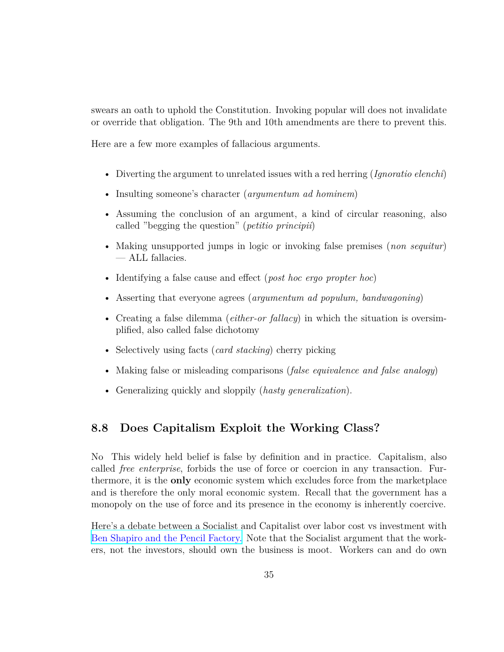swears an oath to uphold the Constitution. Invoking popular will does not invalidate or override that obligation. The 9th and 10th amendments are there to prevent this.

Here are a few more examples of fallacious arguments.

- Diverting the argument to unrelated issues with a red herring (*Ignoratio elenchi*)
- Insulting someone's character (*argumentum ad hominem*)
- Assuming the conclusion of an argument, a kind of circular reasoning, also called "begging the question" (*petitio principii*)
- Making unsupported jumps in logic or invoking false premises (*non sequitur*) — ALL fallacies.
- Identifying a false cause and effect (*post hoc ergo propter hoc*)
- Asserting that everyone agrees (*argumentum ad populum, bandwagoning*)
- Creating a false dilemma (*either-or fallacy*) in which the situation is oversimplified, also called false dichotomy
- Selectively using facts (*card stacking*) cherry picking
- Making false or misleading comparisons (*false equivalence and false analogy*)
- Generalizing quickly and sloppily (*hasty generalization*).

#### **8.8 Does Capitalism Exploit the Working Class?**

No This widely held belief is false by definition and in practice. Capitalism, also called *free enterprise*, forbids the use of force or coercion in any transaction. Furthermore, it is the **only** economic system which excludes force from the marketplace and is therefore the only moral economic system. Recall that the government has a monopoly on the use of force and its presence in the economy is inherently coercive.

Here's a debate between a Socialist and Capitalist over labor cost vs investment with [Ben Shapiro and the Pencil Factory.](https://www.youtube.com/watch?v=3xq-q6a9tCM) Note that the Socialist argument that the workers, not the investors, should own the business is moot. Workers can and do own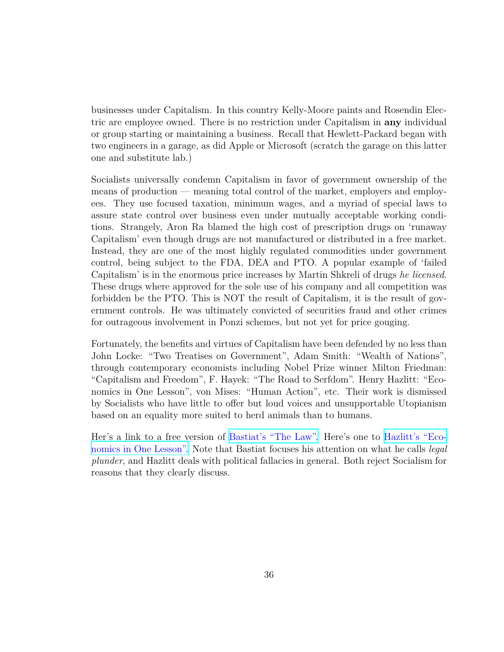businesses under Capitalism. In this country Kelly-Moore paints and Rosendin Electric are employee owned. There is no restriction under Capitalism in **any** individual or group starting or maintaining a business. Recall that Hewlett-Packard began with two engineers in a garage, as did Apple or Microsoft (scratch the garage on this latter one and substitute lab.)

Socialists universally condemn Capitalism in favor of government ownership of the means of production — meaning total control of the market, employers and employees. They use focused taxation, minimum wages, and a myriad of special laws to assure state control over business even under mutually acceptable working conditions. Strangely, Aron Ra blamed the high cost of prescription drugs on 'runaway Capitalism' even though drugs are not manufactured or distributed in a free market. Instead, they are one of the most highly regulated commodities under government control, being subject to the FDA, DEA and PTO. A popular example of 'failed Capitalism' is in the enormous price increases by Martin Shkreli of drugs *he licensed*. These drugs where approved for the sole use of his company and all competition was forbidden be the PTO. This is NOT the result of Capitalism, it is the result of government controls. He was ultimately convicted of securities fraud and other crimes for outrageous involvement in Ponzi schemes, but not yet for price gouging.

Fortunately, the benefits and virtues of Capitalism have been defended by no less than John Locke: "Two Treatises on Government", Adam Smith: "Wealth of Nations", through contemporary economists including Nobel Prize winner Milton Friedman: "Capitalism and Freedom", F. Hayek: "The Road to Serfdom". Henry Hazlitt: "Economics in One Lesson", von Mises: "Human Action", etc. Their work is dismissed by Socialists who have little to offer but loud voices and unsupportable Utopianism based on an equality more suited to herd animals than to humans.

Her's a link to a free version of [Bastiat's "The Law".](https://fee.org/media/14951/thelaw.pdf) Here's one to [Hazlitt's "Eco](https://fee.org/resources/economics-in-one-lesson/)[nomics in One Lesson".](https://fee.org/resources/economics-in-one-lesson/) Note that Bastiat focuses his attention on what he calls *legal plunder*, and Hazlitt deals with political fallacies in general. Both reject Socialism for reasons that they clearly discuss.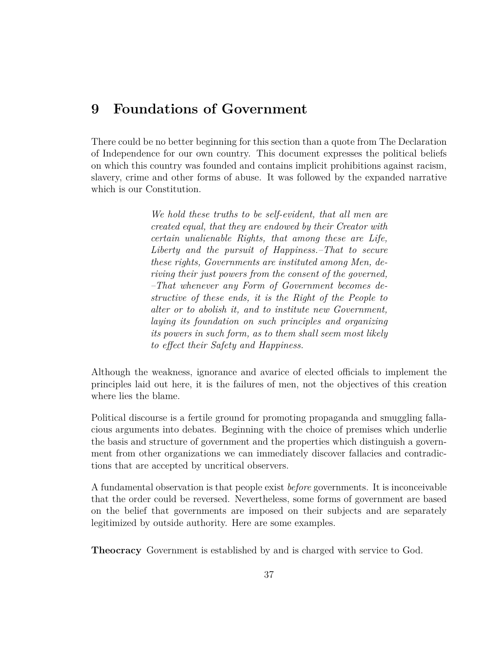# **9 Foundations of Government**

There could be no better beginning for this section than a quote from The Declaration of Independence for our own country. This document expresses the political beliefs on which this country was founded and contains implicit prohibitions against racism, slavery, crime and other forms of abuse. It was followed by the expanded narrative which is our Constitution.

> *We hold these truths to be self-evident, that all men are created equal, that they are endowed by their Creator with certain unalienable Rights, that among these are Life, Liberty and the pursuit of Happiness.–That to secure these rights, Governments are instituted among Men, deriving their just powers from the consent of the governed, –That whenever any Form of Government becomes destructive of these ends, it is the Right of the People to alter or to abolish it, and to institute new Government, laying its foundation on such principles and organizing its powers in such form, as to them shall seem most likely to effect their Safety and Happiness.*

Although the weakness, ignorance and avarice of elected officials to implement the principles laid out here, it is the failures of men, not the objectives of this creation where lies the blame.

Political discourse is a fertile ground for promoting propaganda and smuggling fallacious arguments into debates. Beginning with the choice of premises which underlie the basis and structure of government and the properties which distinguish a government from other organizations we can immediately discover fallacies and contradictions that are accepted by uncritical observers.

A fundamental observation is that people exist *before* governments. It is inconceivable that the order could be reversed. Nevertheless, some forms of government are based on the belief that governments are imposed on their subjects and are separately legitimized by outside authority. Here are some examples.

**Theocracy** Government is established by and is charged with service to God.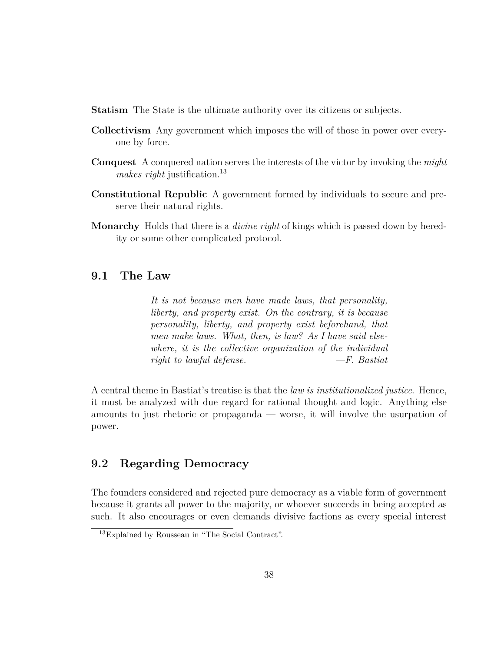- **Statism** The State is the ultimate authority over its citizens or subjects.
- **Collectivism** Any government which imposes the will of those in power over everyone by force.
- **Conquest** A conquered nation serves the interests of the victor by invoking the *might makes right* justification.<sup>13</sup>
- **Constitutional Republic** A government formed by individuals to secure and preserve their natural rights.
- **Monarchy** Holds that there is a *divine right* of kings which is passed down by heredity or some other complicated protocol.

#### **9.1 The Law**

*It is not because men have made laws, that personality, liberty, and property exist. On the contrary, it is because personality, liberty, and property exist beforehand, that men make laws. What, then, is law? As I have said elsewhere, it is the collective organization of the individual right to lawful defense. —F. Bastiat*

A central theme in Bastiat's treatise is that the *law is institutionalized justice*. Hence, it must be analyzed with due regard for rational thought and logic. Anything else amounts to just rhetoric or propaganda — worse, it will involve the usurpation of power.

#### **9.2 Regarding Democracy**

The founders considered and rejected pure democracy as a viable form of government because it grants all power to the majority, or whoever succeeds in being accepted as such. It also encourages or even demands divisive factions as every special interest

<sup>13</sup>Explained by Rousseau in "The Social Contract".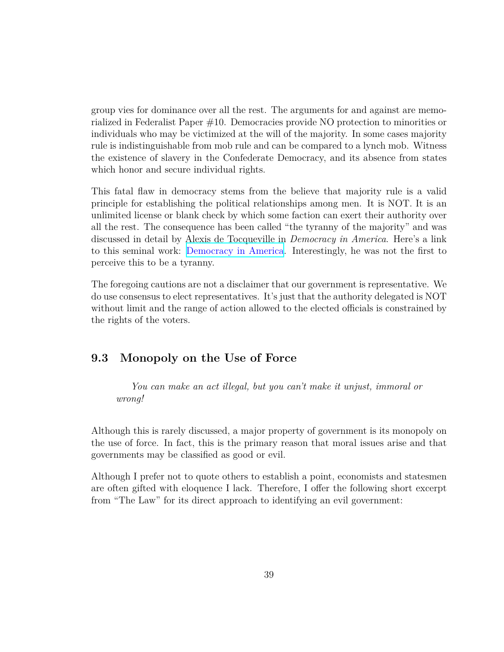group vies for dominance over all the rest. The arguments for and against are memorialized in Federalist Paper #10. Democracies provide NO protection to minorities or individuals who may be victimized at the will of the majority. In some cases majority rule is indistinguishable from mob rule and can be compared to a lynch mob. Witness the existence of slavery in the Confederate Democracy, and its absence from states which honor and secure individual rights.

This fatal flaw in democracy stems from the believe that majority rule is a valid principle for establishing the political relationships among men. It is NOT. It is an unlimited license or blank check by which some faction can exert their authority over all the rest. The consequence has been called "the tyranny of the majority" and was discussed in detail by Alexis de Tocqueville in *Democracy in America*. Here's a link to this seminal work: [Democracy in America.](https://wps.pearsoncustom.com/wps/media/objects/2429/2487430/pdfs/democracy.pdf) Interestingly, he was not the first to perceive this to be a tyranny.

The foregoing cautions are not a disclaimer that our government is representative. We do use consensus to elect representatives. It's just that the authority delegated is NOT without limit and the range of action allowed to the elected officials is constrained by the rights of the voters.

#### **9.3 Monopoly on the Use of Force**

*You can make an act illegal, but you can't make it unjust, immoral or wrong!*

Although this is rarely discussed, a major property of government is its monopoly on the use of force. In fact, this is the primary reason that moral issues arise and that governments may be classified as good or evil.

Although I prefer not to quote others to establish a point, economists and statesmen are often gifted with eloquence I lack. Therefore, I offer the following short excerpt from "The Law" for its direct approach to identifying an evil government: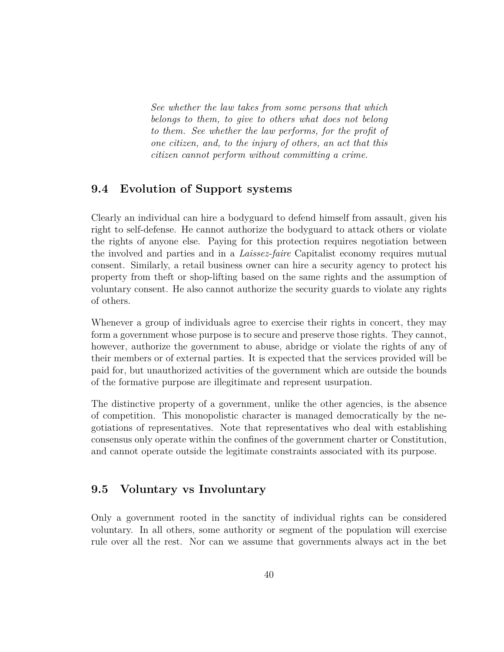*See whether the law takes from some persons that which belongs to them, to give to others what does not belong to them. See whether the law performs, for the profit of one citizen, and, to the injury of others, an act that this citizen cannot perform without committing a crime.*

### **9.4 Evolution of Support systems**

Clearly an individual can hire a bodyguard to defend himself from assault, given his right to self-defense. He cannot authorize the bodyguard to attack others or violate the rights of anyone else. Paying for this protection requires negotiation between the involved and parties and in a *Laissez-faire* Capitalist economy requires mutual consent. Similarly, a retail business owner can hire a security agency to protect his property from theft or shop-lifting based on the same rights and the assumption of voluntary consent. He also cannot authorize the security guards to violate any rights of others.

Whenever a group of individuals agree to exercise their rights in concert, they may form a government whose purpose is to secure and preserve those rights. They cannot, however, authorize the government to abuse, abridge or violate the rights of any of their members or of external parties. It is expected that the services provided will be paid for, but unauthorized activities of the government which are outside the bounds of the formative purpose are illegitimate and represent usurpation.

The distinctive property of a government, unlike the other agencies, is the absence of competition. This monopolistic character is managed democratically by the negotiations of representatives. Note that representatives who deal with establishing consensus only operate within the confines of the government charter or Constitution, and cannot operate outside the legitimate constraints associated with its purpose.

#### **9.5 Voluntary vs Involuntary**

Only a government rooted in the sanctity of individual rights can be considered voluntary. In all others, some authority or segment of the population will exercise rule over all the rest. Nor can we assume that governments always act in the bet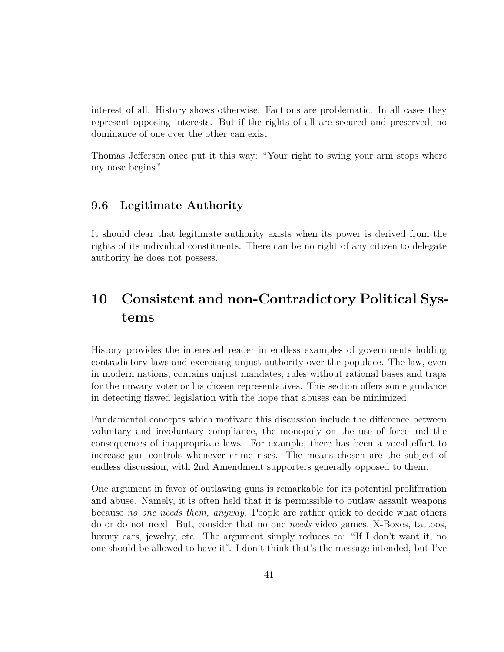interest of all. History shows otherwise. Factions are problematic. In all cases they represent opposing interests. But if the rights of all are secured and preserved, no dominance of one over the other can exist.

Thomas Jefferson once put it this way: "Your right to swing your arm stops where my nose begins."

#### **9.6 Legitimate Authority**

It should clear that legitimate authority exists when its power is derived from the rights of its individual constituents. There can be no right of any citizen to delegate authority he does not possess.

# **10 Consistent and non-Contradictory Political Systems**

History provides the interested reader in endless examples of governments holding contradictory laws and exercising unjust authority over the populace. The law, even in modern nations, contains unjust mandates, rules without rational bases and traps for the unwary voter or his chosen representatives. This section offers some guidance in detecting flawed legislation with the hope that abuses can be minimized.

Fundamental concepts which motivate this discussion include the difference between voluntary and involuntary compliance, the monopoly on the use of force and the consequences of inappropriate laws. For example, there has been a vocal effort to increase gun controls whenever crime rises. The means chosen are the subject of endless discussion, with 2nd Amendment supporters generally opposed to them.

One argument in favor of outlawing guns is remarkable for its potential proliferation and abuse. Namely, it is often held that it is permissible to outlaw assault weapons because *no one needs them, anyway*. People are rather quick to decide what others do or do not need. But, consider that no one *needs* video games, X-Boxes, tattoos, luxury cars, jewelry, etc. The argument simply reduces to: "If I don't want it, no one should be allowed to have it". I don't think that's the message intended, but I've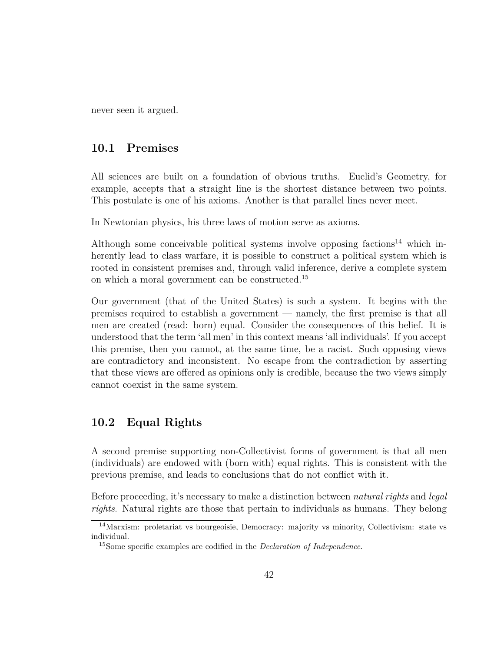never seen it argued.

#### **10.1 Premises**

All sciences are built on a foundation of obvious truths. Euclid's Geometry, for example, accepts that a straight line is the shortest distance between two points. This postulate is one of his axioms. Another is that parallel lines never meet.

In Newtonian physics, his three laws of motion serve as axioms.

Although some conceivable political systems involve opposing factions<sup>14</sup> which inherently lead to class warfare, it is possible to construct a political system which is rooted in consistent premises and, through valid inference, derive a complete system on which a moral government can be constructed.<sup>15</sup>

Our government (that of the United States) is such a system. It begins with the premises required to establish a government — namely, the first premise is that all men are created (read: born) equal. Consider the consequences of this belief. It is understood that the term 'all men' in this context means 'all individuals'. If you accept this premise, then you cannot, at the same time, be a racist. Such opposing views are contradictory and inconsistent. No escape from the contradiction by asserting that these views are offered as opinions only is credible, because the two views simply cannot coexist in the same system.

### **10.2 Equal Rights**

A second premise supporting non-Collectivist forms of government is that all men (individuals) are endowed with (born with) equal rights. This is consistent with the previous premise, and leads to conclusions that do not conflict with it.

Before proceeding, it's necessary to make a distinction between *natural rights* and *legal rights*. Natural rights are those that pertain to individuals as humans. They belong

<sup>&</sup>lt;sup>14</sup>Marxism: proletariat vs bourgeoisie, Democracy: majority vs minority, Collectivism: state vs individual.

<sup>15</sup>Some specific examples are codified in the *Declaration of Independence*.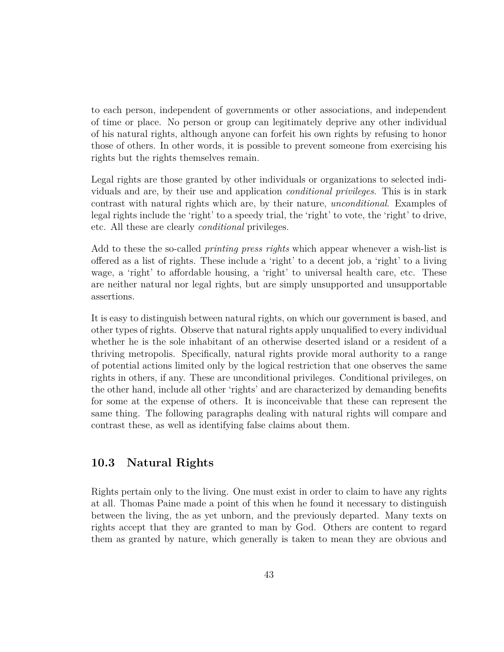to each person, independent of governments or other associations, and independent of time or place. No person or group can legitimately deprive any other individual of his natural rights, although anyone can forfeit his own rights by refusing to honor those of others. In other words, it is possible to prevent someone from exercising his rights but the rights themselves remain.

Legal rights are those granted by other individuals or organizations to selected individuals and are, by their use and application *conditional privileges*. This is in stark contrast with natural rights which are, by their nature, *unconditional*. Examples of legal rights include the 'right' to a speedy trial, the 'right' to vote, the 'right' to drive, etc. All these are clearly *conditional* privileges.

Add to these the so-called *printing press rights* which appear whenever a wish-list is offered as a list of rights. These include a 'right' to a decent job, a 'right' to a living wage, a 'right' to affordable housing, a 'right' to universal health care, etc. These are neither natural nor legal rights, but are simply unsupported and unsupportable assertions.

It is easy to distinguish between natural rights, on which our government is based, and other types of rights. Observe that natural rights apply unqualified to every individual whether he is the sole inhabitant of an otherwise deserted island or a resident of a thriving metropolis. Specifically, natural rights provide moral authority to a range of potential actions limited only by the logical restriction that one observes the same rights in others, if any. These are unconditional privileges. Conditional privileges, on the other hand, include all other 'rights' and are characterized by demanding benefits for some at the expense of others. It is inconceivable that these can represent the same thing. The following paragraphs dealing with natural rights will compare and contrast these, as well as identifying false claims about them.

#### **10.3 Natural Rights**

Rights pertain only to the living. One must exist in order to claim to have any rights at all. Thomas Paine made a point of this when he found it necessary to distinguish between the living, the as yet unborn, and the previously departed. Many texts on rights accept that they are granted to man by God. Others are content to regard them as granted by nature, which generally is taken to mean they are obvious and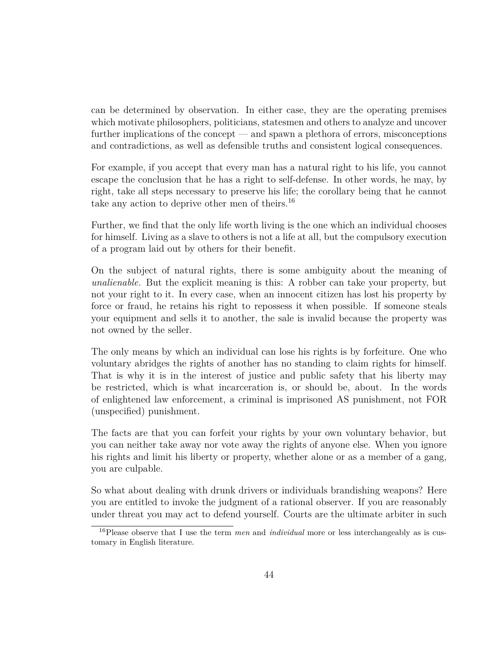can be determined by observation. In either case, they are the operating premises which motivate philosophers, politicians, statesmen and others to analyze and uncover further implications of the concept — and spawn a plethora of errors, misconceptions and contradictions, as well as defensible truths and consistent logical consequences.

For example, if you accept that every man has a natural right to his life, you cannot escape the conclusion that he has a right to self-defense. In other words, he may, by right, take all steps necessary to preserve his life; the corollary being that he cannot take any action to deprive other men of theirs.<sup>16</sup>

Further, we find that the only life worth living is the one which an individual chooses for himself. Living as a slave to others is not a life at all, but the compulsory execution of a program laid out by others for their benefit.

On the subject of natural rights, there is some ambiguity about the meaning of *unalienable.* But the explicit meaning is this: A robber can take your property, but not your right to it. In every case, when an innocent citizen has lost his property by force or fraud, he retains his right to repossess it when possible. If someone steals your equipment and sells it to another, the sale is invalid because the property was not owned by the seller.

The only means by which an individual can lose his rights is by forfeiture. One who voluntary abridges the rights of another has no standing to claim rights for himself. That is why it is in the interest of justice and public safety that his liberty may be restricted, which is what incarceration is, or should be, about. In the words of enlightened law enforcement, a criminal is imprisoned AS punishment, not FOR (unspecified) punishment.

The facts are that you can forfeit your rights by your own voluntary behavior, but you can neither take away nor vote away the rights of anyone else. When you ignore his rights and limit his liberty or property, whether alone or as a member of a gang, you are culpable.

So what about dealing with drunk drivers or individuals brandishing weapons? Here you are entitled to invoke the judgment of a rational observer. If you are reasonably under threat you may act to defend yourself. Courts are the ultimate arbiter in such

<sup>16</sup>Please observe that I use the term *men* and *individual* more or less interchangeably as is customary in English literature.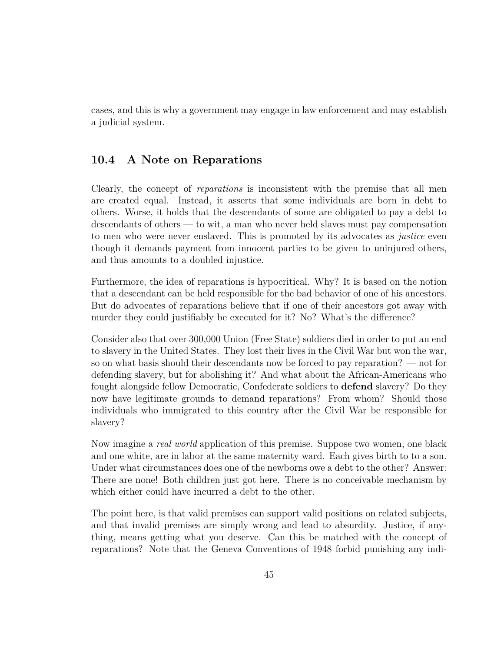cases, and this is why a government may engage in law enforcement and may establish a judicial system.

#### **10.4 A Note on Reparations**

Clearly, the concept of *reparations* is inconsistent with the premise that all men are created equal. Instead, it asserts that some individuals are born in debt to others. Worse, it holds that the descendants of some are obligated to pay a debt to descendants of others — to wit, a man who never held slaves must pay compensation to men who were never enslaved. This is promoted by its advocates as *justice* even though it demands payment from innocent parties to be given to uninjured others, and thus amounts to a doubled injustice.

Furthermore, the idea of reparations is hypocritical. Why? It is based on the notion that a descendant can be held responsible for the bad behavior of one of his ancestors. But do advocates of reparations believe that if one of their ancestors got away with murder they could justifiably be executed for it? No? What's the difference?

Consider also that over 300,000 Union (Free State) soldiers died in order to put an end to slavery in the United States. They lost their lives in the Civil War but won the war, so on what basis should their descendants now be forced to pay reparation? — not for defending slavery, but for abolishing it? And what about the African-Americans who fought alongside fellow Democratic, Confederate soldiers to **defend** slavery? Do they now have legitimate grounds to demand reparations? From whom? Should those individuals who immigrated to this country after the Civil War be responsible for slavery?

Now imagine a *real world* application of this premise. Suppose two women, one black and one white, are in labor at the same maternity ward. Each gives birth to to a son. Under what circumstances does one of the newborns owe a debt to the other? Answer: There are none! Both children just got here. There is no conceivable mechanism by which either could have incurred a debt to the other.

The point here, is that valid premises can support valid positions on related subjects, and that invalid premises are simply wrong and lead to absurdity. Justice, if anything, means getting what you deserve. Can this be matched with the concept of reparations? Note that the Geneva Conventions of 1948 forbid punishing any indi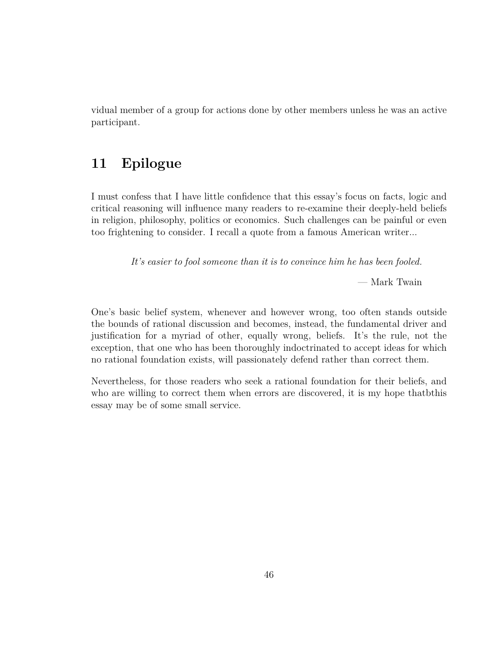vidual member of a group for actions done by other members unless he was an active participant.

# **11 Epilogue**

I must confess that I have little confidence that this essay's focus on facts, logic and critical reasoning will influence many readers to re-examine their deeply-held beliefs in religion, philosophy, politics or economics. Such challenges can be painful or even too frightening to consider. I recall a quote from a famous American writer...

*It's easier to fool someone than it is to convince him he has been fooled.*

— Mark Twain

One's basic belief system, whenever and however wrong, too often stands outside the bounds of rational discussion and becomes, instead, the fundamental driver and justification for a myriad of other, equally wrong, beliefs. It's the rule, not the exception, that one who has been thoroughly indoctrinated to accept ideas for which no rational foundation exists, will passionately defend rather than correct them.

Nevertheless, for those readers who seek a rational foundation for their beliefs, and who are willing to correct them when errors are discovered, it is my hope thatbthis essay may be of some small service.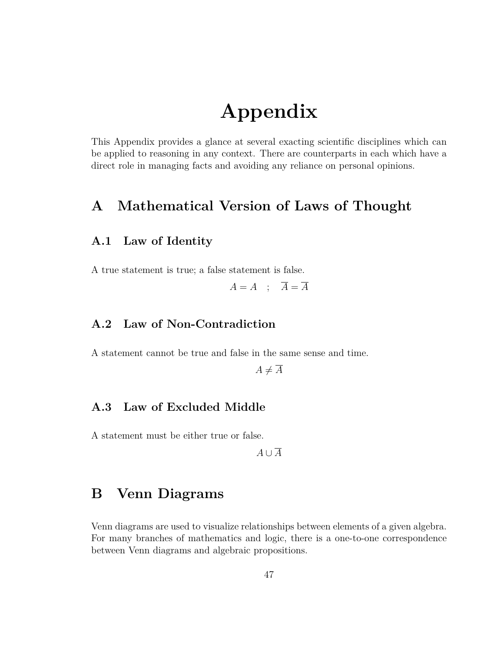# **Appendix**

This Appendix provides a glance at several exacting scientific disciplines which can be applied to reasoning in any context. There are counterparts in each which have a direct role in managing facts and avoiding any reliance on personal opinions.

# **A Mathematical Version of Laws of Thought**

#### **A.1 Law of Identity**

A true statement is true; a false statement is false.

 $A = A$  ;  $\overline{A} = \overline{A}$ 

#### **A.2 Law of Non-Contradiction**

A statement cannot be true and false in the same sense and time.

 $A \neq \overline{A}$ 

#### **A.3 Law of Excluded Middle**

A statement must be either true or false.

*A ∪ A*

### **B Venn Diagrams**

Venn diagrams are used to visualize relationships between elements of a given algebra. For many branches of mathematics and logic, there is a one-to-one correspondence between Venn diagrams and algebraic propositions.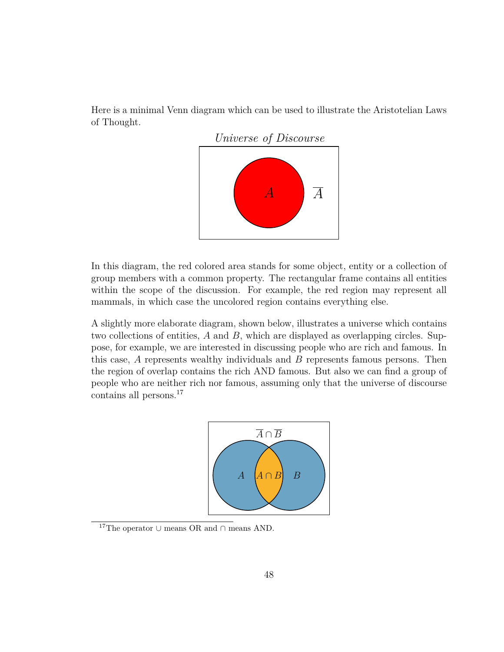Here is a minimal Venn diagram which can be used to illustrate the Aristotelian Laws of Thought.



In this diagram, the red colored area stands for some object, entity or a collection of group members with a common property. The rectangular frame contains all entities within the scope of the discussion. For example, the red region may represent all mammals, in which case the uncolored region contains everything else.

A slightly more elaborate diagram, shown below, illustrates a universe which contains two collections of entities, *A* and *B*, which are displayed as overlapping circles. Suppose, for example, we are interested in discussing people who are rich and famous. In this case, *A* represents wealthy individuals and *B* represents famous persons. Then the region of overlap contains the rich AND famous. But also we can find a group of people who are neither rich nor famous, assuming only that the universe of discourse contains all persons.<sup>17</sup>



<sup>17</sup>The operator *<sup>∪</sup>* means OR and *<sup>∩</sup>* means AND.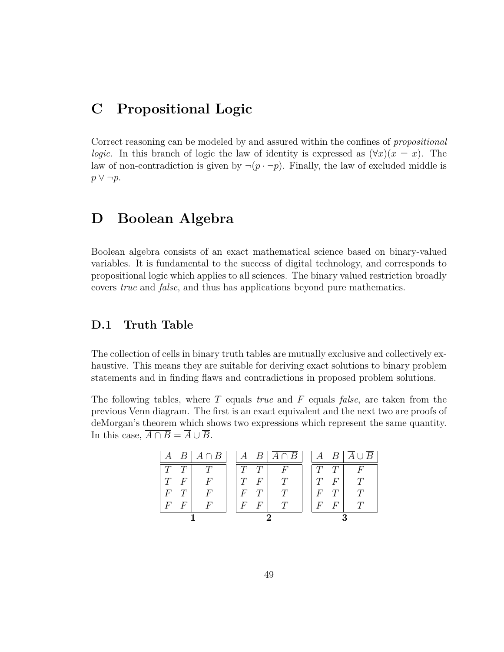# **C Propositional Logic**

Correct reasoning can be modeled by and assured within the confines of *propositional logic.* In this branch of logic the law of identity is expressed as  $(\forall x)(x = x)$ . The law of non-contradiction is given by  $\neg (p \cdot \neg p)$ . Finally, the law of excluded middle is *p ∨ ¬p*.

### **D Boolean Algebra**

Boolean algebra consists of an exact mathematical science based on binary-valued variables. It is fundamental to the success of digital technology, and corresponds to propositional logic which applies to all sciences. The binary valued restriction broadly covers *true* and *false*, and thus has applications beyond pure mathematics.

#### **D.1 Truth Table**

The collection of cells in binary truth tables are mutually exclusive and collectively exhaustive. This means they are suitable for deriving exact solutions to binary problem statements and in finding flaws and contradictions in proposed problem solutions.

The following tables, where *T* equals *true* and *F* equals *false*, are taken from the previous Venn diagram. The first is an exact equivalent and the next two are proofs of deMorgan's theorem which shows two expressions which represent the same quantity. In this case,  $\overline{A \cap B} = \overline{A} \cup \overline{B}$ .

| $\cdot$ A |   | $B \mid A \cap B \mid$ |      |         | $A \ B \overline{A \cap B}$ |       |   | $A \quad B \mid \overline{A} \cup \overline{B} \mid$ |
|-----------|---|------------------------|------|---------|-----------------------------|-------|---|------------------------------------------------------|
| T         |   |                        |      |         | F                           |       |   | F                                                    |
| T         | F | $\boldsymbol{F}$       |      | F       |                             | T     | F |                                                      |
| $F\$      |   | $F\,$                  | $F\$ |         |                             | $F\,$ |   |                                                      |
| F         | F |                        | F    | $\mu^,$ |                             | F     | F |                                                      |
|           |   |                        |      |         |                             |       |   |                                                      |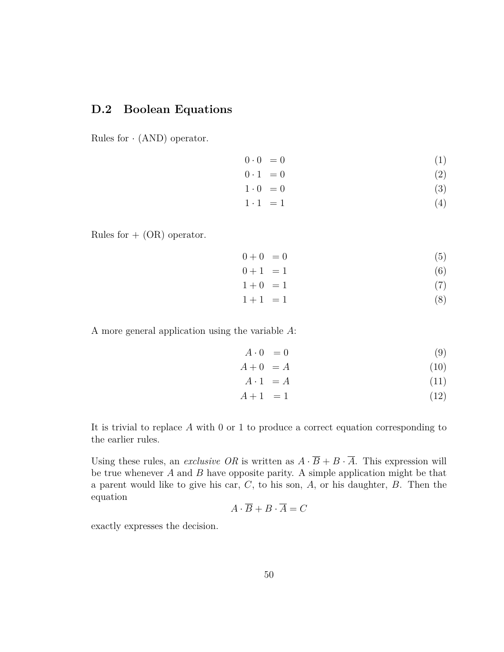### **D.2 Boolean Equations**

Rules for *·* (AND) operator.

$$
0 \cdot 0 = 0 \tag{1}
$$

$$
0 \cdot 1 = 0 \tag{2}
$$

 $1 \cdot 0 = 0$  (3)

$$
1 \cdot 1 = 1 \tag{4}
$$

Rules for  $+$  (OR) operator.

$$
0 + 0 = 0 \tag{5}
$$

$$
0+1 = 1 \tag{6}
$$

$$
1 + 0 = 1 \tag{7}
$$

 $1+1 = 1$  (8)

A more general application using the variable *A*:

$$
A \cdot 0 = 0 \tag{9}
$$

$$
A + 0 = A \tag{10}
$$

$$
A \cdot 1 = A \tag{11}
$$

$$
A + 1 = 1 \tag{12}
$$

It is trivial to replace *A* with 0 or 1 to produce a correct equation corresponding to the earlier rules.

Using these rules, an *exclusive OR* is written as  $A \cdot \overline{B} + B \cdot \overline{A}$ . This expression will be true whenever *A* and *B* have opposite parity. A simple application might be that a parent would like to give his car, *C*, to his son, *A*, or his daughter, *B*. Then the equation

$$
A \cdot \overline{B} + B \cdot \overline{A} = C
$$

exactly expresses the decision.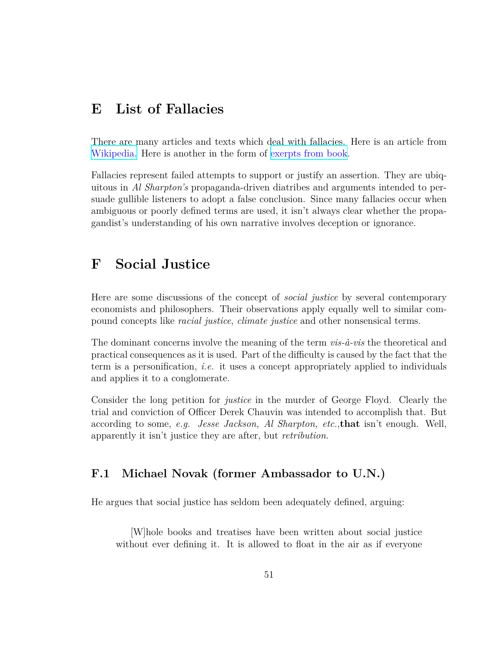# **E List of Fallacies**

There are many articles and texts which deal with fallacies. Here is an article from [Wikipedia.](https://en.wikipedia.org/wiki/List_of_fallacies) Here is another in the form of [exerpts from book](https://basicknowledge101.com/pdf/literacy/fallaciesList.pdf).

Fallacies represent failed attempts to support or justify an assertion. They are ubiquitous in *Al Sharpton's* propaganda-driven diatribes and arguments intended to persuade gullible listeners to adopt a false conclusion. Since many fallacies occur when ambiguous or poorly defined terms are used, it isn't always clear whether the propagandist's understanding of his own narrative involves deception or ignorance.

# **F Social Justice**

Here are some discussions of the concept of *social justice* by several contemporary economists and philosophers. Their observations apply equally well to similar compound concepts like *racial justice*, *climate justice* and other nonsensical terms.

The dominant concerns involve the meaning of the term *vis-à-vis* the theoretical and practical consequences as it is used. Part of the difficulty is caused by the fact that the term is a personification, *i.e.* it uses a concept appropriately applied to individuals and applies it to a conglomerate.

Consider the long petition for *justice* in the murder of George Floyd. Clearly the trial and conviction of Officer Derek Chauvin was intended to accomplish that. But according to some, *e.g. Jesse Jackson, Al Sharpton, etc.*,**that** isn't enough. Well, apparently it isn't justice they are after, but *retribution.*

### **F.1 Michael Novak (former Ambassador to U.N.)**

He argues that social justice has seldom been adequately defined, arguing:

[W]hole books and treatises have been written about social justice without ever defining it. It is allowed to float in the air as if everyone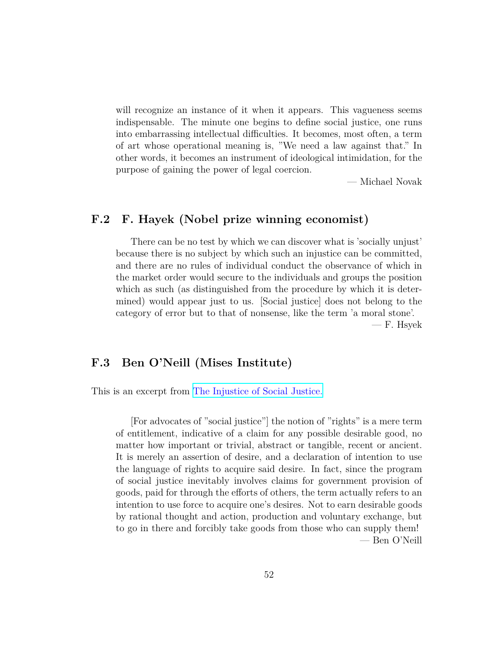will recognize an instance of it when it appears. This vagueness seems indispensable. The minute one begins to define social justice, one runs into embarrassing intellectual difficulties. It becomes, most often, a term of art whose operational meaning is, "We need a law against that." In other words, it becomes an instrument of ideological intimidation, for the purpose of gaining the power of legal coercion.

— Michael Novak

#### **F.2 F. Hayek (Nobel prize winning economist)**

There can be no test by which we can discover what is 'socially unjust' because there is no subject by which such an injustice can be committed, and there are no rules of individual conduct the observance of which in the market order would secure to the individuals and groups the position which as such (as distinguished from the procedure by which it is determined) would appear just to us. [Social justice] does not belong to the category of error but to that of nonsense, like the term 'a moral stone'. — F. Hsyek

#### **F.3 Ben O'Neill (Mises Institute)**

This is an excerpt from [The Injustice of Social Justice.](https://mises.org/library/injustice-social-justice)

[For advocates of "social justice"] the notion of "rights" is a mere term of entitlement, indicative of a claim for any possible desirable good, no matter how important or trivial, abstract or tangible, recent or ancient. It is merely an assertion of desire, and a declaration of intention to use the language of rights to acquire said desire. In fact, since the program of social justice inevitably involves claims for government provision of goods, paid for through the efforts of others, the term actually refers to an intention to use force to acquire one's desires. Not to earn desirable goods by rational thought and action, production and voluntary exchange, but to go in there and forcibly take goods from those who can supply them! — Ben O'Neill